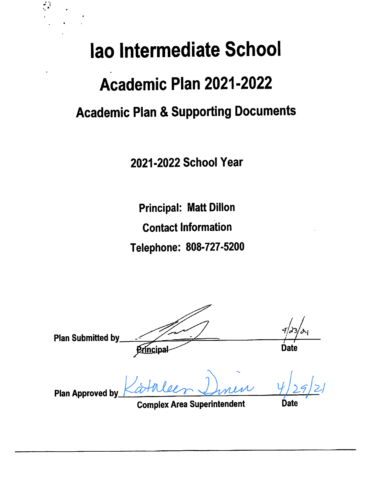# lao Intermediate School Academic Plan 2021-2022 **Academic Plan & Supporting Documents**

2021-2022 School Year

**Principal: Matt Dillon Contact Information** Telephone: 808-727-5200

**Plan Submitted by Date** Principal **Plan Approved by** 

**Complex Area Superintendent** 

**Date**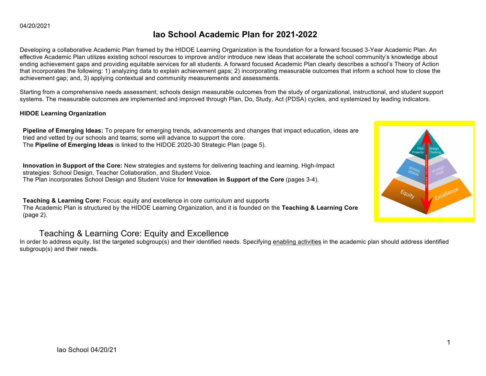## **Iao School Academic Plan for 2021-2022**

Developing a collaborative Academic Plan framed by the HIDOE Learning Organization is the foundation for a forward focused 3-Year Academic Plan. An effective Academic Plan utilizes existing school resources to improve and/or introduce new ideas that accelerate the school community's knowledge about ending achievement gaps and providing equitable services for all students. A forward focused Academic Plan clearly describes a school's Theory of Action that incorporates the following: 1) analyzing data to explain achievement gaps; 2) incorporating measurable outcomes that inform a school how to close the achievement gap; and, 3) applying contextual and community measurements and assessments.

Starting from a comprehensive needs assessment; schools design measurable outcomes from the study of organizational, instructional, and student support systems. The measurable outcomes are implemented and improved through Plan, Do, Study, Act (PDSA) cycles, and systemized by leading indicators.

## **HIDOE Learning Organization**

**Pipeline of Emerging Ideas:** To prepare for emerging trends, advancements and changes that impact education, ideas are tried and vetted by our schools and teams; some will advance to support the core. ● The **Pipeline of Emerging Ideas** is linked to the HIDOE 2020-30 Strategic Plan (page 5).

**Innovation in Support of the Core:** New strategies and systems for delivering teaching and learning. High-Impact strategies: School Design, Teacher Collaboration, and Student Voice. ● The Plan incorporates School Design and Student Voice for **Innovation in Support of the Core** (pages 3-4).

**Teaching & Learning Core:** Focus: equity and excellence in core curriculum and supports ● The Academic Plan is structured by the HIDOE Learning Organization, and it is founded on the **Teaching & Learning Core** (page 2).

## Teaching & Learning Core: Equity and Excellence

In order to address equity, list the targeted subgroup(s) and their identified needs. Specifying enabling activities in the academic plan should address identified subgroup(s) and their needs.

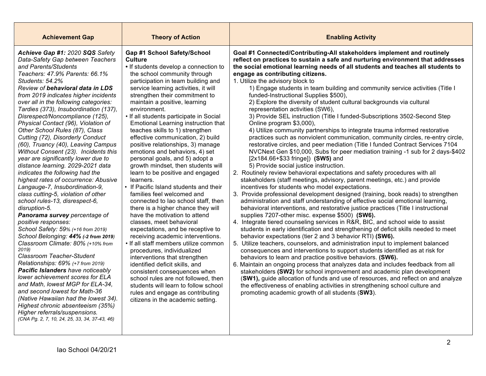| <b>Achievement Gap</b>                                                                                                                                                                                                                                                                                                                                                                                                                                                                                                                                                                                                                                                                                                                                                                                                                                                                                                                                                                                                                                                                                                                                                                                                                                                                                                                                                                                           | <b>Theory of Action</b>                                                                                                                                                                                                                                                                                                                                                                                                                                                                                                                                                                                                                                                                                                                                                                                                                                                                                                                                                                                                                                                                                                                                                                                                                                                  | <b>Enabling Activity</b>                                                                                                                                                                                                                                                                                                                                                                                                                                                                                                                                                                                                                                                                                                                                                                                                                                                                                                                                                                                                                                                                                                                                                                                                                                                                                                                                                                                                                                                                                                                                                                                                                                                                                                                                                                                                                                                                                                                                                                                                                                                                                                                                                                                                                                                                                                                                                                                                                                                                |
|------------------------------------------------------------------------------------------------------------------------------------------------------------------------------------------------------------------------------------------------------------------------------------------------------------------------------------------------------------------------------------------------------------------------------------------------------------------------------------------------------------------------------------------------------------------------------------------------------------------------------------------------------------------------------------------------------------------------------------------------------------------------------------------------------------------------------------------------------------------------------------------------------------------------------------------------------------------------------------------------------------------------------------------------------------------------------------------------------------------------------------------------------------------------------------------------------------------------------------------------------------------------------------------------------------------------------------------------------------------------------------------------------------------|--------------------------------------------------------------------------------------------------------------------------------------------------------------------------------------------------------------------------------------------------------------------------------------------------------------------------------------------------------------------------------------------------------------------------------------------------------------------------------------------------------------------------------------------------------------------------------------------------------------------------------------------------------------------------------------------------------------------------------------------------------------------------------------------------------------------------------------------------------------------------------------------------------------------------------------------------------------------------------------------------------------------------------------------------------------------------------------------------------------------------------------------------------------------------------------------------------------------------------------------------------------------------|-----------------------------------------------------------------------------------------------------------------------------------------------------------------------------------------------------------------------------------------------------------------------------------------------------------------------------------------------------------------------------------------------------------------------------------------------------------------------------------------------------------------------------------------------------------------------------------------------------------------------------------------------------------------------------------------------------------------------------------------------------------------------------------------------------------------------------------------------------------------------------------------------------------------------------------------------------------------------------------------------------------------------------------------------------------------------------------------------------------------------------------------------------------------------------------------------------------------------------------------------------------------------------------------------------------------------------------------------------------------------------------------------------------------------------------------------------------------------------------------------------------------------------------------------------------------------------------------------------------------------------------------------------------------------------------------------------------------------------------------------------------------------------------------------------------------------------------------------------------------------------------------------------------------------------------------------------------------------------------------------------------------------------------------------------------------------------------------------------------------------------------------------------------------------------------------------------------------------------------------------------------------------------------------------------------------------------------------------------------------------------------------------------------------------------------------------------------------------------------------|
| Achieve Gap #1: 2020 SQS Safety<br>Data-Safety Gap between Teachers<br>and Parents/Students<br>Teachers: 47.9% Parents: 66.1%<br>Students: 54.2%<br><b>Review of behavioral data in LDS</b><br>from 2019 indicates higher incidents<br>over all in the following categories:<br>Tardies (373), Insubordination (137),<br>Disrespect/Noncompliance (125),<br>Physical Contact (96), Violation of<br>Other School Rules (87), Class<br>Cutting (72), Disorderly Conduct<br>(60), Truancy (40), Leaving Campus<br>Without Consent (23). Incidents this<br>year are significantly lower due to<br>distance learning. 2029-2021 data<br>indicates the following had the<br>highest rates of occurrence: Abusive<br>Langauge-7, Insubordination-9,<br>class cutting-5, violation of other<br>school rules-13, disrespect-6,<br>disruption-5.<br>Panorama survey percentage of<br>positive responses:<br>School Safety: 59% (+16 from 2019)<br>School Belonging: 44% (-2 from 2019)<br>Classroom Climate: 80% (+10% from<br>2019)<br>Classroom Teacher-Student<br>Relationships: 69% (+7 from 2019)<br><b>Pacific Islanders have noticeably</b><br>lower achievement scores for ELA<br>and Math, lowest MGP for ELA-34,<br>and second lowest for Math-36<br>(Native Hawaiian had the lowest 34).<br>Highest chronic absenteeism (35%)<br>Higher referrals/suspensions.<br>(CNA Pg. 2, 7, 10, 24, 25, 33, 34, 37-43, 46) | Gap #1 School Safety/School<br>Culture<br>• If students develop a connection to<br>the school community through<br>participation in team building and<br>service learning activities, it will<br>strengthen their commitment to<br>maintain a positive, learning<br>environment.<br>• If all students participate in Social<br>Emotional Learning instruction that<br>teaches skills to 1) strengthen<br>effective communication, 2) build<br>positive relationships, 3) manage<br>emotions and behaviors, 4) set<br>personal goals, and 5) adopt a<br>growth mindset, then students will<br>learn to be positive and engaged<br>learners.<br>• If Pacific Island students and their<br>families feel welcomed and<br>connected to lao school staff, then<br>there is a higher chance they will<br>have the motivation to attend<br>classes, meet behavioral<br>expectations, and be receptive to<br>receiving academic interventions.<br>• If all staff members utilize common<br>procedures, individualized<br>interventions that strengthen<br>identified deficit skills, and<br>consistent consequences when<br>school rules are not followed, then<br>students will learn to follow school<br>rules and engage as contributing<br>citizens in the academic setting. | Goal #1 Connected/Contributing-All stakeholders implement and routinely<br>reflect on practices to sustain a safe and nurturing environment that addresses<br>the social emotional learning needs of all students and teaches all students to<br>engage as contributing citizens.<br>1. Utilize the advisory block to<br>1) Engage students in team building and community service activities (Title I)<br>funded-Instructional Supplies \$500),<br>2) Explore the diversity of student cultural backgrounds via cultural<br>representation activities (SW6),<br>3) Provide SEL instruction (Title I funded-Subscriptions 3502-Second Step<br>Online program \$3,000),<br>4) Utilize community partnerships to integrate trauma informed restorative<br>practices such as nonviolent communication, community circles, re-entry circle,<br>restorative circles, and peer mediation (Title I funded Contract Services 7104<br>NVCNext Gen \$10,000, Subs for peer mediation training -1 sub for 2 days-\$402<br>[2x184.66+\$33 fringe]) (SW5) and<br>5) Provide social justice instruction.<br>2. Routinely review behavioral expectations and safety procedures with all<br>stakeholders (staff meetings, advisory, parent meetings, etc.) and provide<br>incentives for students who model expectations.<br>3. Provide professional development designed (training, book reads) to strengthen<br>administration and staff understanding of effective social emotional learning,<br>behavioral interventions, and restorative justice practices (Title I instructional<br>supplies 7207-other misc. expense \$500) (SW6).<br>4. Integrate tiered counseling services in R&R, BIC, and school wide to assist<br>students in early identification and strengthening of deficit skills needed to meet<br>behavior expectations (tier 2 and 3 behavior RTI) (SW6).<br>5. Utilize teachers, counselors, and administration input to implement balanced<br>consequences and interventions to support students identified as at risk for<br>behaviors to learn and practice positive behaviors. (SW6).<br>6. Maintain an ongoing process that analyzes data and includes feedback from all<br>stakeholders (SW2) for school improvement and academic plan development<br>(SW1), guide allocation of funds and use of resources, and reflect on and analyze<br>the effectiveness of enabling activities in strengthening school culture and<br>promoting academic growth of all students (SW3). |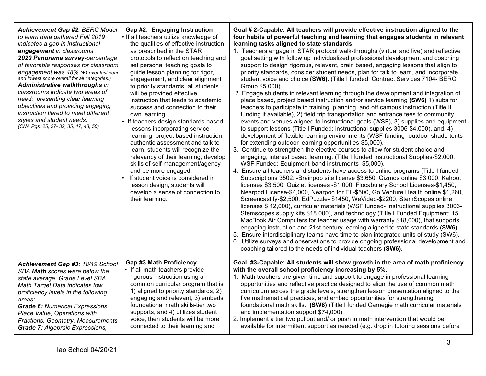| <b>Achievement Gap #2: BERC Model</b><br>to learn data gathered Fall 2019<br>indicates a gap in instructional<br>engagement in classrooms.<br>2020 Panorama survey-percentage<br>of favorable responses for classroom<br>engagement was 48% (+1 over last year<br>and lowest score overall for all categories.)<br>Administrative walkthroughs in<br>classrooms indicate two areas of<br>need: presenting clear learning<br>objectives and providing engaging<br>instruction tiered to meet different<br>styles and student needs.<br>(CNA Pgs. 25, 27-32, 35, 47, 48, 50) | Gap #2: Engaging Instruction<br>If all teachers utilize knowledge of<br>the qualities of effective instruction<br>as prescribed in the STAR<br>protocols to reflect on teaching and<br>set personal teaching goals to<br>guide lesson planning for rigor,<br>engagement, and clear alignment<br>to priority standards, all students<br>will be provided effective<br>instruction that leads to academic<br>success and connection to their<br>own learning.<br>If teachers design standards based<br>lessons incorporating service<br>learning, project based instruction,<br>authentic assessment and talk to<br>learn, students will recognize the<br>relevancy of their learning, develop<br>skills of self management/agency<br>and be more engaged.<br>If student voice is considered in<br>lesson design, students will<br>develop a sense of connection to<br>their learning. | Goal # 2-Capable: All teachers will provide effective instruction aligned to the<br>four habits of powerful teaching and learning that engages students in relevant<br>learning tasks aligned to state standards.<br>1. Teachers engage in STAR protocol walk-throughs (virtual and live) and reflective<br>goal setting with follow up individualized professional development and coaching<br>support to design rigorous, relevant, brain based, engaging lessons that align to<br>priority standards, consider student needs, plan for talk to learn, and incorporate<br>student voice and choice (SW6). (Title I funded: Contract Services 7104- BERC<br>Group \$5,000)<br>2. Engage students in relevant learning through the development and integration of<br>place based, project based instruction and/or service learning (SW6) 1) subs for<br>teachers to participate in training, planning, and off campus instruction (Title II)<br>funding if available), 2) field trip transportation and entrance fees to community<br>events and venues aligned to instructional goals (WSF), 3) supplies and equipment<br>to support lessons (Title I Funded: instructional supplies 3006-\$4,000), and, 4)<br>development of flexible learning environments (WSF funding- outdoor shade tents<br>for extending outdoor learning opportunities-\$5,000).<br>3. Continue to strengthen the elective courses to allow for student choice and<br>engaging, interest based learning. (Title I funded Instructional Supplies-\$2,000,<br>WSF Funded: Equipment-band instruments \$5,000).<br>4. Ensure all teachers and students have access to online programs (Title I funded<br>Subscriptions 3502: -Brainpop site license \$3,650, Gizmos online \$3,000, Kahoot<br>licenses \$3,500, Quizlet licenses -\$1,000, Flocabulary School Licenses-\$1,450,<br>Nearpod License-\$4,000, Nearpod for EL-\$500, Go Venture Health online \$1,260,<br>Screencastify-\$2,500, EdPuzzle- \$1450, WeVideo-\$2200, StemScopes online<br>licenses \$12,000), curricular materials (WSF funded- Instructional supplies 3006-<br>Stemscopes supply kits \$18,000), and technology (Title I Funded Equipment: 15<br>MacBook Air Computers for teacher usage with warranty \$18,000), that supports<br>engaging instruction and 21st century learning aligned to state standards (SW6)<br>5. Ensure interdisciplinary teams have time to plan integrated units of study (SW6).<br>6. Utilize surveys and observations to provide ongoing professional development and<br>coaching tailored to the needs of individual teachers (SW6). |
|----------------------------------------------------------------------------------------------------------------------------------------------------------------------------------------------------------------------------------------------------------------------------------------------------------------------------------------------------------------------------------------------------------------------------------------------------------------------------------------------------------------------------------------------------------------------------|--------------------------------------------------------------------------------------------------------------------------------------------------------------------------------------------------------------------------------------------------------------------------------------------------------------------------------------------------------------------------------------------------------------------------------------------------------------------------------------------------------------------------------------------------------------------------------------------------------------------------------------------------------------------------------------------------------------------------------------------------------------------------------------------------------------------------------------------------------------------------------------|----------------------------------------------------------------------------------------------------------------------------------------------------------------------------------------------------------------------------------------------------------------------------------------------------------------------------------------------------------------------------------------------------------------------------------------------------------------------------------------------------------------------------------------------------------------------------------------------------------------------------------------------------------------------------------------------------------------------------------------------------------------------------------------------------------------------------------------------------------------------------------------------------------------------------------------------------------------------------------------------------------------------------------------------------------------------------------------------------------------------------------------------------------------------------------------------------------------------------------------------------------------------------------------------------------------------------------------------------------------------------------------------------------------------------------------------------------------------------------------------------------------------------------------------------------------------------------------------------------------------------------------------------------------------------------------------------------------------------------------------------------------------------------------------------------------------------------------------------------------------------------------------------------------------------------------------------------------------------------------------------------------------------------------------------------------------------------------------------------------------------------------------------------------------------------------------------------------------------------------------------------------------------------------------------------------------------------------------------------------------------------------------------------------------------------------------------------------------------------------------------------------------------------------------------------------------------------------------------------------------|
| Achievement Gap #3: 18/19 School                                                                                                                                                                                                                                                                                                                                                                                                                                                                                                                                           | <b>Gap #3 Math Proficiency</b>                                                                                                                                                                                                                                                                                                                                                                                                                                                                                                                                                                                                                                                                                                                                                                                                                                                       | Goal #3-Capable: All students will show growth in the area of math proficiency                                                                                                                                                                                                                                                                                                                                                                                                                                                                                                                                                                                                                                                                                                                                                                                                                                                                                                                                                                                                                                                                                                                                                                                                                                                                                                                                                                                                                                                                                                                                                                                                                                                                                                                                                                                                                                                                                                                                                                                                                                                                                                                                                                                                                                                                                                                                                                                                                                                                                                                                       |
| SBA Math scores were below the                                                                                                                                                                                                                                                                                                                                                                                                                                                                                                                                             | • If all math teachers provide                                                                                                                                                                                                                                                                                                                                                                                                                                                                                                                                                                                                                                                                                                                                                                                                                                                       | with the overall school proficiency increasing by 5%.                                                                                                                                                                                                                                                                                                                                                                                                                                                                                                                                                                                                                                                                                                                                                                                                                                                                                                                                                                                                                                                                                                                                                                                                                                                                                                                                                                                                                                                                                                                                                                                                                                                                                                                                                                                                                                                                                                                                                                                                                                                                                                                                                                                                                                                                                                                                                                                                                                                                                                                                                                |
| state average. Grade Level SBA                                                                                                                                                                                                                                                                                                                                                                                                                                                                                                                                             | rigorous instruction using a                                                                                                                                                                                                                                                                                                                                                                                                                                                                                                                                                                                                                                                                                                                                                                                                                                                         | 1. Math teachers are given time and support to engage in professional learning                                                                                                                                                                                                                                                                                                                                                                                                                                                                                                                                                                                                                                                                                                                                                                                                                                                                                                                                                                                                                                                                                                                                                                                                                                                                                                                                                                                                                                                                                                                                                                                                                                                                                                                                                                                                                                                                                                                                                                                                                                                                                                                                                                                                                                                                                                                                                                                                                                                                                                                                       |
| Math Target Data indicates low                                                                                                                                                                                                                                                                                                                                                                                                                                                                                                                                             | common curricular program that is                                                                                                                                                                                                                                                                                                                                                                                                                                                                                                                                                                                                                                                                                                                                                                                                                                                    | opportunities and reflective practice designed to align the use of common math                                                                                                                                                                                                                                                                                                                                                                                                                                                                                                                                                                                                                                                                                                                                                                                                                                                                                                                                                                                                                                                                                                                                                                                                                                                                                                                                                                                                                                                                                                                                                                                                                                                                                                                                                                                                                                                                                                                                                                                                                                                                                                                                                                                                                                                                                                                                                                                                                                                                                                                                       |
| proficiency levels in the following                                                                                                                                                                                                                                                                                                                                                                                                                                                                                                                                        | 1) aligned to priority standards, 2)                                                                                                                                                                                                                                                                                                                                                                                                                                                                                                                                                                                                                                                                                                                                                                                                                                                 | curriculum across the grade levels, strengthen lesson presentation aligned to the                                                                                                                                                                                                                                                                                                                                                                                                                                                                                                                                                                                                                                                                                                                                                                                                                                                                                                                                                                                                                                                                                                                                                                                                                                                                                                                                                                                                                                                                                                                                                                                                                                                                                                                                                                                                                                                                                                                                                                                                                                                                                                                                                                                                                                                                                                                                                                                                                                                                                                                                    |
| areas:                                                                                                                                                                                                                                                                                                                                                                                                                                                                                                                                                                     | engaging and relevant, 3) embeds                                                                                                                                                                                                                                                                                                                                                                                                                                                                                                                                                                                                                                                                                                                                                                                                                                                     | five mathematical practices, and embed opportunities for strengthening                                                                                                                                                                                                                                                                                                                                                                                                                                                                                                                                                                                                                                                                                                                                                                                                                                                                                                                                                                                                                                                                                                                                                                                                                                                                                                                                                                                                                                                                                                                                                                                                                                                                                                                                                                                                                                                                                                                                                                                                                                                                                                                                                                                                                                                                                                                                                                                                                                                                                                                                               |
| <b>Grade 6: Numerical Expressions,</b>                                                                                                                                                                                                                                                                                                                                                                                                                                                                                                                                     | foundational math skills-tier two                                                                                                                                                                                                                                                                                                                                                                                                                                                                                                                                                                                                                                                                                                                                                                                                                                                    | foundational math skills. (SW6) (Title I funded Carnegie math curricular materials                                                                                                                                                                                                                                                                                                                                                                                                                                                                                                                                                                                                                                                                                                                                                                                                                                                                                                                                                                                                                                                                                                                                                                                                                                                                                                                                                                                                                                                                                                                                                                                                                                                                                                                                                                                                                                                                                                                                                                                                                                                                                                                                                                                                                                                                                                                                                                                                                                                                                                                                   |
| Place Value, Operations with                                                                                                                                                                                                                                                                                                                                                                                                                                                                                                                                               | supports, and 4) utilizes student                                                                                                                                                                                                                                                                                                                                                                                                                                                                                                                                                                                                                                                                                                                                                                                                                                                    | and implementation support \$74,000)                                                                                                                                                                                                                                                                                                                                                                                                                                                                                                                                                                                                                                                                                                                                                                                                                                                                                                                                                                                                                                                                                                                                                                                                                                                                                                                                                                                                                                                                                                                                                                                                                                                                                                                                                                                                                                                                                                                                                                                                                                                                                                                                                                                                                                                                                                                                                                                                                                                                                                                                                                                 |
| Fractions, Geometry, Measurements                                                                                                                                                                                                                                                                                                                                                                                                                                                                                                                                          | voice, then students will be more                                                                                                                                                                                                                                                                                                                                                                                                                                                                                                                                                                                                                                                                                                                                                                                                                                                    | 2. Implement a tier two pullout and/ or push in math intervention that would be                                                                                                                                                                                                                                                                                                                                                                                                                                                                                                                                                                                                                                                                                                                                                                                                                                                                                                                                                                                                                                                                                                                                                                                                                                                                                                                                                                                                                                                                                                                                                                                                                                                                                                                                                                                                                                                                                                                                                                                                                                                                                                                                                                                                                                                                                                                                                                                                                                                                                                                                      |
| <b>Grade 7: Algebraic Expressions,</b>                                                                                                                                                                                                                                                                                                                                                                                                                                                                                                                                     | connected to their learning and                                                                                                                                                                                                                                                                                                                                                                                                                                                                                                                                                                                                                                                                                                                                                                                                                                                      | available for intermittent support as needed (e.g. drop in tutoring sessions before                                                                                                                                                                                                                                                                                                                                                                                                                                                                                                                                                                                                                                                                                                                                                                                                                                                                                                                                                                                                                                                                                                                                                                                                                                                                                                                                                                                                                                                                                                                                                                                                                                                                                                                                                                                                                                                                                                                                                                                                                                                                                                                                                                                                                                                                                                                                                                                                                                                                                                                                  |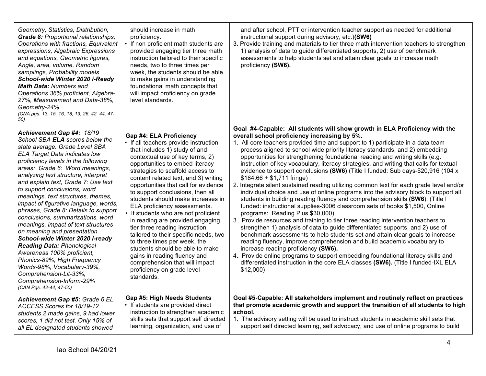*Geometry, Statistics, Distribution, Grade 8: Proportional relationships, Operations with fractions, Equivalent expressions, Algebraic Expressions and equations, Geometric figures, Angle, area, volume, Random samplings, Probability models School-wide Winter 2020 i-Ready Math Data: Numbers and Operations 36% proficient, Algebra-27%, Measurement and Data-38%, Geometry-24% (CNA pgs. 13, 15, 16, 18, 19, 26, 42, 44, 47- 50)*

*Achievement Gap #4: 18/19 School SBA ELA scores below the* 

*state average. Grade Level SBA ELA Target Data indicates low proficiency levels in the following areas: Grade 6: Word meanings, analyzing text structure, interpret and explain text, Grade 7: Use text to support conclusions, word meanings, text structures, themes, impact of figurative language, words, phrases, Grade 8: Details to support conclusions, summarizations, word meanings, impact of text structures on meaning and presentation. School-wide Winter 2020 i-ready Reading Data: Phonological Awareness 100% proficient, Phonics-89%, High Frequency Words-98%, Vocabulary-39%, Comprehension-Lit-33%, Comprehension-Inform-29% (CAN Pgs. 42-44, 47-50)*

*Achievement Gap #5: Grade 6 EL ACCESS Scores for 18/19-12 students 2 made gains, 9 had lower scores, 1 did not test. Only 15% of all EL designated students showed* 

should increase in math proficiency.

If non proficient math students are provided engaging tier three math instruction tailored to their specific needs, two to three times per week, the students should be able to make gains in understanding foundational math concepts that will impact proficiency on grade level standards.

## **Gap #4: ELA Proficiency**

• If all teachers provide instruction that includes 1) study of and contextual use of key terms, 2) opportunities to embed literacy strategies to scaffold access to content related text, and 3) writing opportunities that call for evidence to support conclusions, then all students should make increases in ELA proficiency assessments.

• If students who are not proficient in reading are provided engaging tier three reading instruction tailored to their specific needs, two to three times per week, the students should be able to make gains in reading fluency and comprehension that will impact proficiency on grade level standards.

## **Gap #5: High Needs Students**

• If students are provided direct instruction to strengthen academic skills sets that support self directed learning, organization, and use of

and after school, PTT or intervention teacher support as needed for additional instructional support during advisory, etc.)**(SW6)** 

3. Provide training and materials to tier three math intervention teachers to strengthen 1) analysis of data to guide differentiated supports, 2) use of benchmark assessments to help students set and attain clear goals to increase math proficiency **(SW6).**

### **Goal #4-Capable: All students will show growth in ELA Proficiency with the overall school proficiency increasing by 5%.**

- 1. All core teachers provided time and support to 1) participate in a data team process aligned to school wide priority literacy standards, and 2) embedding opportunities for strengthening foundational reading and writing skills (e.g. instruction of key vocabulary, literacy strategies, and writing that calls for textual evidence to support conclusions **(SW6)** (Title I funded: Sub days-\$20,916 (104 x \$184.66 + \$1,711 fringe)
- 2. Integrate silent sustained reading utilizing common text for each grade level and/or individual choice and use of online programs into the advisory block to support all students in building reading fluency and comprehension skills **(SW6**). (Title I funded: instructional supplies-3006 classroom sets of books \$1,500, Online programs: Reading Plus \$30,000).
- 3. Provide resources and training to tier three reading intervention teachers to strengthen 1) analysis of data to guide differentiated supports, and 2) use of benchmark assessments to help students set and attain clear goals to increase reading fluency, improve comprehension and build academic vocabulary to increase reading proficiency **(SW6).**
- 4. Provide online programs to support embedding foundational literacy skills and differentiated instruction in the core ELA classes **(SW6).** (Title I funded-IXL ELA \$12,000)

### **Goal #5-Capable: All stakeholders implement and routinely reflect on practices that promote academic growth and support the transition of all students to high school.**

1. The advisory setting will be used to instruct students in academic skill sets that support self directed learning, self advocacy, and use of online programs to build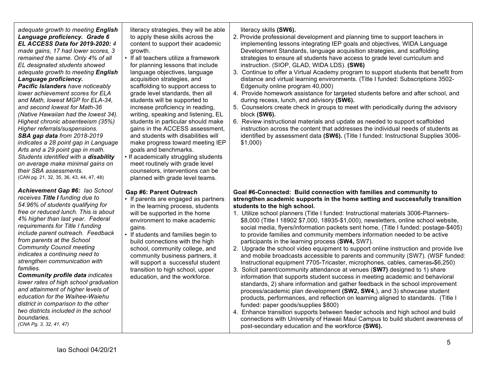#### *adequate growth to meeting English Language proficiency. Grade 6 EL ACCESS Data for 2019-2020: 4 made gains, 17 had lower scores, 3 remained the same. Only 4% of all EL designated students showed adequate growth to meeting English Language proficiency.*

*Pacific Islanders have noticeably lower achievement scores for ELA and Math, lowest MGP for ELA-34, and second lowest for Math-36 (Native Hawaiian had the lowest 34). Highest chronic absenteeism (35%) Higher referrals/suspensions. SBA gap data from 2018-2019 indicates a 28 point gap in Language Arts and a 29 point gap in math. Students identified with a disability on average make minimal gains on their SBA assessments.* (CAN pg. 21, 32, 35, 36, 43, 44, 47, 48)

*Achievement Gap #6: Iao School receives Title I funding due to 54.96% of students qualifying for free or reduced lunch. This is about 4% higher than last year. Federal requirements for Title I funding include parent outreach. Feedback from parents at the School Community Council meeting indicates a continuing need to strengthen communication with families.*

*Community profile data indicates lower rates of high school graduation and attainment of higher levels of education for the Waihee-Waiehu district in comparison to the other two districts included in the school boundaries.* 

*(CNA Pg. 3, 32, 41, 47)*

literacy strategies, they will be able to apply these skills across the content to support their academic growth.

- If all teachers utilize a framework for planning lessons that include language objectives, language acquisition strategies, and scaffolding to support access to grade level standards, then all students will be supported to increase proficiency in reading, writing, speaking and listening, EL students in particular should make gains in the ACCESS assessment, and students with disabilities will make progress toward meeting IEP goals and benchmarks.
- If academically struggling students meet routinely with grade level counselors, interventions can be planned with grade level teams.

#### **Gap #6: Parent Outreach**

- If parents are engaged as partners in the learning process, students will be supported in the home environment to make academic gains.
- If students and families begin to build connections with the high school, community college, and community business partners, it will support a successful student transition to high school, upper education, and the workforce.

## literacy skills **(SW6).**

- 2. Provide professional development and planning time to support teachers in implementing lessons integrating IEP goals and objectives, WIDA Language Development Standards, language acquisition strategies, and scaffolding strategies to ensure all students have access to grade level curriculum and instruction. (SIOP, GLAD, WIDA LDS). **(SW6)**
- 3. Continue to offer a Virtual Academy program to support students that benefit from distance and virtual learning environments. (Title I funded: Subscriptions 3502- Edgenuity online program 40,000)
- 4. Provide homework assistance for targeted students before and after school, and during recess, lunch, and advisory **(SW6).**
- 5. Counselors create check in groups to meet with periodically during the advisory block **(SW6).**
- 6. Review instructional materials and update as needed to support scaffolded instruction across the content that addresses the individual needs of students as identified by assessment data **(SW6).** (Title I funded: Instructional Supplies 3006- \$1,000)

#### **Goal #6-Connected: Build connection with families and community to strengthen academic supports in the home setting and successfully transition students to the high school.**

- 1. Utilize school planners (Title I funded: Instructional materials 3006-Planners- \$8,000 (Title I 18902 \$7,000, 18935-\$1,000), newsletters, online school website, social media, flyers/information packets sent home, (Title I funded: postage-\$405) to provide families and community members information needed to be active participants in the learning process (**SW4,** SW7).
- 2. Upgrade the school video equipment to support online instruction and provide live and mobile broadcasts accessible to parents and community (SW7). (WSF funded: Instructional equipment 7705-Tricaster, microphones, cables, cameras-\$6,250)
- 3. Solicit parent/community attendance at venues (**SW7)** designed to 1) share information that supports student success in meeting academic and behavioral standards, 2) share information and gather feedback in the school improvement process/academic plan development **(SW2, SW4**,), and 3) showcase student products, performances, and reflection on learning aligned to standards. (Title I funded: paper goods/supplies \$800)
- 4. Enhance transition supports between feeder schools and high school and build connections with University of Hawaii Maui Campus to build student awareness of post-secondary education and the workforce **(SW6).**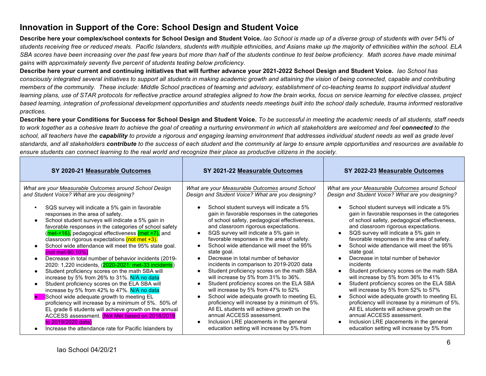# **Innovation in Support of the Core: School Design and Student Voice**

**Describe here your complex/school contexts for School Design and Student Voice.** *Iao School is made up of a diverse group of students with over 54% of students receiving free or reduced meals. Pacific Islanders, students with multiple ethnicities, and Asians make up the majority of ethnicities within the school. ELA*  SBA scores have been increasing over the past few years but more than half of the students continue to test below proficiency. Math scores have made minimal *gains with approximately seventy five percent of students testing below proficiency.* 

**Describe here your current and continuing initiatives that will further advance your 2021-2022 School Design and Student Voice.** *Iao School has consciously integrated several initiatives to support all students in making academic growth and attaining the vision of being connected, capable and contributing members of the community. These include: Middle School practices of teaming and advisory, establishment of co-teaching teams to support individual student learning plans, use of STAR protocols for reflective practice around strategies aligned to how the brain works, focus on service learning for elective classes, project based learning, integration of professional development opportunities and students needs meetings built into the school daily schedule, trauma informed restorative practices.*

**Describe here your Conditions for Success for School Design and Student Voice.** *To be successful in meeting the academic needs of all students, staff needs to work together as a cohesive team to achieve the goal of creating a nurturing environment in which all stakeholders are welcomed and feel connected to the school, all teachers have the capability to provide a rigorous and engaging learning environment that addresses individual student needs as well as grade level standards, and all stakeholders contribute to the success of each student and the community at large to ensure ample opportunities and resources are available to ensure students can connect learning to the real world and recognize their place as productive citizens in the society.*

| SY 2020-21 Measurable Outcomes                                                                                                                                                                                                                                                                                                                                                                                                                                                                                                                                                                                                                                                | SY 2021-22 Measurable Outcomes                                                                                                                                                                                                                                                                                                                                                                                                                                                                                                                               | SY 2022-23 Measurable Outcomes                                                                                                                                                                                                                                                                                                                                                                                                                                                                                              |
|-------------------------------------------------------------------------------------------------------------------------------------------------------------------------------------------------------------------------------------------------------------------------------------------------------------------------------------------------------------------------------------------------------------------------------------------------------------------------------------------------------------------------------------------------------------------------------------------------------------------------------------------------------------------------------|--------------------------------------------------------------------------------------------------------------------------------------------------------------------------------------------------------------------------------------------------------------------------------------------------------------------------------------------------------------------------------------------------------------------------------------------------------------------------------------------------------------------------------------------------------------|-----------------------------------------------------------------------------------------------------------------------------------------------------------------------------------------------------------------------------------------------------------------------------------------------------------------------------------------------------------------------------------------------------------------------------------------------------------------------------------------------------------------------------|
| What are your Measurable Outcomes around School Design<br>and Student Voice? What are you designing?                                                                                                                                                                                                                                                                                                                                                                                                                                                                                                                                                                          | What are your Measurable Outcomes around School<br>Design and Student Voice? What are you designing?                                                                                                                                                                                                                                                                                                                                                                                                                                                         | What are your Measurable Outcomes around School<br>Design and Student Voice? What are you designing?                                                                                                                                                                                                                                                                                                                                                                                                                        |
| SQS survey will indicate a 5% gain in favorable<br>responses in the area of safety.<br>School student surveys will indicate a 5% gain in<br>$\bullet$<br>favorable responses in the categories of school safety<br>(met-+16), pedagogical effectiveness (met +7), and<br>classroom rigorous expectations (not met +3).<br>School wide attendance will meet the 95% state goal.<br>$($ not met-90.10% $)$<br>Decrease in total number of behavior incidents (2019-<br>2020: 1,220 incidents, (2020-2021: met-33 incidents)<br>Student proficiency scores on the math SBA will<br>increase by 5% from 26% to 31%. N/A no data<br>Student proficiency scores on the ELA SBA will | School student surveys will indicate a 5%<br>gain in favorable responses in the categories<br>of school safety, pedagogical effectiveness,<br>and classroom rigorous expectations.<br>SQS survey will indicate a 5% gain in<br>favorable responses in the area of safety.<br>School wide attendance will meet the 95%<br>state goal.<br>Decrease in total number of behavior<br>incidents in comparison to 2019-2020 data<br>Student proficiency scores on the math SBA<br>will increase by 5% from 31% to 36%.<br>Student proficiency scores on the ELA SBA | School student surveys will indicate a 5%<br>gain in favorable responses in the categories<br>of school safety, pedagogical effectiveness,<br>and classroom rigorous expectations.<br>SQS survey will indicate a 5% gain in<br>favorable responses in the area of safety.<br>School wide attendance will meet the 95%<br>state goal.<br>Decrease in total number of behavior<br>incidents<br>Student proficiency scores on the math SBA<br>will increase by 5% from 36% to 41%<br>Student proficiency scores on the ELA SBA |
| increase by 5% from 42% to 47%. N/A no data<br>School wide adequate growth to meeting EL<br>proficiency will increase by a minimum of 5%. 50% of<br>EL grade 6 students will achieve growth on the annual<br>ACCESS assessment. (Not Met based on 2018/2019<br>to 2019/2020 data)                                                                                                                                                                                                                                                                                                                                                                                             | will increase by 5% from 47% to 52%<br>School wide adequate growth to meeting EL<br>proficiency will increase by a minimum of 5%.<br>All EL students will achieve growth on the<br>annual ACCESS assessment.<br>Inclusion LRE placements in the general                                                                                                                                                                                                                                                                                                      | will increase by 5% from 52% to 57%<br>School wide adequate growth to meeting EL<br>proficiency will increase by a minimum of 5%.<br>All EL students will achieve growth on the<br>annual ACCESS assessment.<br>Inclusion LRE placements in the general                                                                                                                                                                                                                                                                     |
| Increase the attendance rate for Pacific Islanders by                                                                                                                                                                                                                                                                                                                                                                                                                                                                                                                                                                                                                         | education setting will increase by 5% from                                                                                                                                                                                                                                                                                                                                                                                                                                                                                                                   | education setting will increase by 5% from                                                                                                                                                                                                                                                                                                                                                                                                                                                                                  |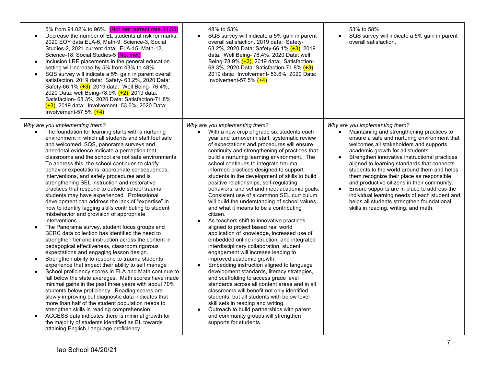| 5% from 91.02% to 96%. (Not met current rate-84.55)<br>Decrease the number of EL students at risk for marks:<br>2020 EOY data ELA-6, Math-9, Science-3, Social<br>Studies-2, 2021 current data: ELA-15, Math-12,<br>Science-18, Social Studies-5 (Not met)<br>Inclusion LRE placements in the general education<br>setting will increase by 5% from 43% to 48%<br>SQS survey will indicate a 5% gain in parent overall<br>satisfaction. 2019 data: Safety- 63.2%, 2020 Data:<br>Safety-66.1% (+3), 2019 data: Well Being- 76.4%,<br>2020 Data: well Being-78.9% (+2), 2019 data:<br>Satisfaction- 68.3%, 2020 Data: Satisfaction-71.8%<br>$(+3)$ , 2019 data: Involvement- 53.6%, 2020 Data:<br>Involvement-57.5% $(+4)$                                                                                                                                                                                                                                                                                                                                                                                                                                                                                                                                                                                                                                                                                                                                                                                                                                                                                                                                                                                                | 48% to 53%<br>SQS survey will indicate a 5% gain in parent<br>overall satisfaction. 2019 data: Safety-<br>63.2%, 2020 Data: Safety-66.1% (+3), 2019<br>data: Well Being- 76.4%, 2020 Data: well<br>Being-78.9% $(+2)$ , 2019 data: Satisfaction-<br>68.3%, 2020 Data: Satisfaction-71.8% (+3),<br>2019 data: Involvement- 53.6%, 2020 Data:<br>Involvement-57.5% $(+4)$                                                                                                                                                                                                                                                                                                                                                                                                                                                                                                                                                                                                                                                                                                                                                                                                                                                                                                                                                                                                                                   | 53% to 58%<br>SQS survey will indicate a 5% gain in parent<br>overall satisfaction.                                                                                                                                                                                                                                                                                                                                                                                                                                                                                                                                                           |
|-------------------------------------------------------------------------------------------------------------------------------------------------------------------------------------------------------------------------------------------------------------------------------------------------------------------------------------------------------------------------------------------------------------------------------------------------------------------------------------------------------------------------------------------------------------------------------------------------------------------------------------------------------------------------------------------------------------------------------------------------------------------------------------------------------------------------------------------------------------------------------------------------------------------------------------------------------------------------------------------------------------------------------------------------------------------------------------------------------------------------------------------------------------------------------------------------------------------------------------------------------------------------------------------------------------------------------------------------------------------------------------------------------------------------------------------------------------------------------------------------------------------------------------------------------------------------------------------------------------------------------------------------------------------------------------------------------------------------|-----------------------------------------------------------------------------------------------------------------------------------------------------------------------------------------------------------------------------------------------------------------------------------------------------------------------------------------------------------------------------------------------------------------------------------------------------------------------------------------------------------------------------------------------------------------------------------------------------------------------------------------------------------------------------------------------------------------------------------------------------------------------------------------------------------------------------------------------------------------------------------------------------------------------------------------------------------------------------------------------------------------------------------------------------------------------------------------------------------------------------------------------------------------------------------------------------------------------------------------------------------------------------------------------------------------------------------------------------------------------------------------------------------|-----------------------------------------------------------------------------------------------------------------------------------------------------------------------------------------------------------------------------------------------------------------------------------------------------------------------------------------------------------------------------------------------------------------------------------------------------------------------------------------------------------------------------------------------------------------------------------------------------------------------------------------------|
| Why are you implementing them?<br>The foundation for learning starts with a nurturing<br>environment in which all students and staff feel safe<br>and welcomed. SQS, panorama surveys and<br>anecdotal evidence indicate a perception that<br>classrooms and the school are not safe environments.<br>To address this, the school continues to clarify<br>behavior expectations, appropriate consequences,<br>interventions, and safety procedures and is<br>strengthening SEL instruction and restorative<br>practices that respond to outside school trauma<br>students may have experienced. Professional<br>development can address the lack of "expertise" in<br>how to identify lagging skills contributing to student<br>misbehavior and provision of appropriate<br>interventions.<br>The Panorama survey, student focus groups and<br>BERC data collection has identified the need to<br>strengthen tier one instruction across the content in<br>pedagogical effectiveness, classroom rigorous<br>expectations and engaging lesson design.<br>Strengthen ability to respond to trauma students<br>experience that impact their ability to self manage<br>School proficiency scores in ELA and Math continue to<br>$\bullet$<br>fall below the state averages. Math scores have made<br>minimal gains in the past three years with about 70%<br>students below proficiency. Reading scores are<br>slowly improving but diagnostic data indicates that<br>more than half of the student population needs to<br>strengthen skills in reading comprehension.<br>ACCESS data indicates there is minimal growth for<br>the majority of students identified as EL towards<br>attaining English Language proficiency. | Why are you implementing them?<br>With a new crop of grade six students each<br>year and turnover in staff, systematic review<br>of expectations and procedures will ensure<br>continuity and strengthening of practices that<br>build a nurturing learning environment. The<br>school continues to integrate trauma<br>informed practices designed to support<br>students in the development of skills to build<br>positive relationships, self-regulating<br>behaviors, and set and meet academic goals.<br>Consistent use of a common SEL curriculum<br>will build the understanding of school values<br>and what it means to be a contributing<br>citizen.<br>As teachers shift to innovative practices<br>aligned to project based real world<br>application of knowledge, increased use of<br>embedded online instruction, and integrated<br>interdisciplinary collaboration, student<br>engagement will increase leading to<br>improved academic growth.<br>Embedding instruction aligned to language<br>development standards, literacy strategies,<br>and scaffolding to access grade level<br>standards across all content areas and in all<br>classrooms will benefit not only identified<br>students, but all students with below level<br>skill sets in reading and writing.<br>Outreach to build partnerships with parent<br>and community groups will strengthen<br>supports for students. | Why are you implementing them?<br>Maintaining and strengthening practices to<br>ensure a safe and nurturing environment that<br>welcomes all stakeholders and supports<br>academic growth for all students.<br>Strengthen innovative instructional practices<br>aligned to learning standards that connects<br>students to the world around them and helps<br>them recognize their place as responsible<br>and productive citizens in their community.<br>Ensure supports are in place to address the<br>individual learning needs of each student and<br>helps all students strengthen foundational<br>skills in reading, writing, and math. |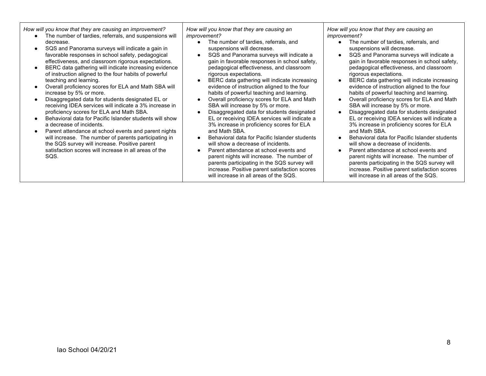*How will you know that they are causing an improvement?*

- The number of tardies, referrals, and suspensions will decrease.
- SQS and Panorama surveys will indicate a gain in favorable responses in school safety, pedagogical effectiveness, and classroom rigorous expectations.
- BERC data gathering will indicate increasing evidence of instruction aligned to the four habits of powerful teaching and learning.
- Overall proficiency scores for ELA and Math SBA will increase by 5% or more.
- Disaggregated data for students designated EL or receiving IDEA services will indicate a 3% increase in proficiency scores for ELA and Math SBA.
- Behavioral data for Pacific Islander students will show a decrease of incidents.
- Parent attendance at school events and parent nights will increase. The number of parents participating in the SQS survey will increase. Positive parent satisfaction scores will increase in all areas of the SQS.

*How will you know that they are causing an improvement?*

- The number of tardies, referrals, and suspensions will decrease.
- SQS and Panorama surveys will indicate a gain in favorable responses in school safety, pedagogical effectiveness, and classroom rigorous expectations.
- BERC data gathering will indicate increasing evidence of instruction aligned to the four habits of powerful teaching and learning.
- Overall proficiency scores for ELA and Math SBA will increase by 5% or more.
- Disaggregated data for students designated EL or receiving IDEA services will indicate a 3% increase in proficiency scores for ELA and Math SBA.
- Behavioral data for Pacific Islander students will show a decrease of incidents.
- Parent attendance at school events and parent nights will increase. The number of parents participating in the SQS survey will increase. Positive parent satisfaction scores will increase in all areas of the SQS.

*How will you know that they are causing an improvement?*

- The number of tardies, referrals, and suspensions will decrease.
- SQS and Panorama surveys will indicate a gain in favorable responses in school safety, pedagogical effectiveness, and classroom rigorous expectations.
- BERC data gathering will indicate increasing evidence of instruction aligned to the four habits of powerful teaching and learning.
- Overall proficiency scores for ELA and Math SBA will increase by 5% or more.
- Disaggregated data for students designated EL or receiving IDEA services will indicate a 3% increase in proficiency scores for ELA and Math SBA.
- Behavioral data for Pacific Islander students will show a decrease of incidents.
- Parent attendance at school events and parent nights will increase. The number of parents participating in the SQS survey will increase. Positive parent satisfaction scores will increase in all areas of the SQS.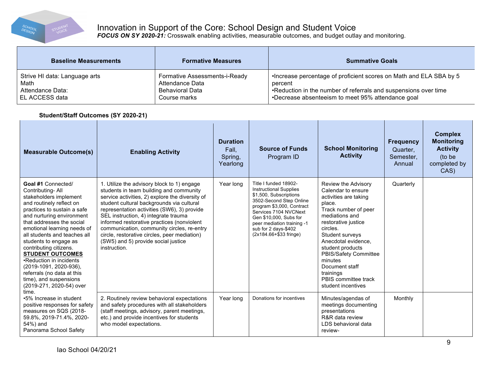

# Innovation in Support of the Core: School Design and Student Voice

*FOCUS ON SY 2020-21:* Crosswalk enabling activities, measurable outcomes, and budget outlay and monitoring.

| <b>Baseline Measurements</b>  | <b>Formative Measures</b>     | <b>Summative Goals</b>                                             |
|-------------------------------|-------------------------------|--------------------------------------------------------------------|
| Strive HI data: Language arts | Formative Assessments-i-Ready | •Increase percentage of proficient scores on Math and ELA SBA by 5 |
| Math                          | Attendance Data               | percent                                                            |
| Attendance Data:              | <b>Behavioral Data</b>        | .Reduction in the number of referrals and suspensions over time    |
| EL ACCESS data                | Course marks                  | •Decrease absenteeism to meet 95% attendance goal                  |

## **Student/Staff Outcomes (SY 2020-21)**

| <b>Measurable Outcome(s)</b>                                                                                                                                                                                                                                                                                                                                                                                                                                                | <b>Enabling Activity</b>                                                                                                                                                                                                                                                                                                                                                                                                                                                        | <b>Duration</b><br>Fall.<br>Spring,<br>Yearlong | <b>Source of Funds</b><br>Program ID                                                                                                                                                                                                                                        | <b>School Monitoring</b><br><b>Activity</b>                                                                                                                                                                                                                                                                                              | <b>Frequency</b><br>Quarter.<br>Semester,<br>Annual | <b>Complex</b><br><b>Monitoring</b><br><b>Activity</b><br>(to be<br>completed by<br>CAS) |
|-----------------------------------------------------------------------------------------------------------------------------------------------------------------------------------------------------------------------------------------------------------------------------------------------------------------------------------------------------------------------------------------------------------------------------------------------------------------------------|---------------------------------------------------------------------------------------------------------------------------------------------------------------------------------------------------------------------------------------------------------------------------------------------------------------------------------------------------------------------------------------------------------------------------------------------------------------------------------|-------------------------------------------------|-----------------------------------------------------------------------------------------------------------------------------------------------------------------------------------------------------------------------------------------------------------------------------|------------------------------------------------------------------------------------------------------------------------------------------------------------------------------------------------------------------------------------------------------------------------------------------------------------------------------------------|-----------------------------------------------------|------------------------------------------------------------------------------------------|
| Goal #1 Connected/<br>Contributing-All<br>stakeholders implement<br>and routinely reflect on<br>practices to sustain a safe<br>and nurturing environment<br>that addresses the social<br>emotional learning needs of<br>all students and teaches all<br>students to engage as<br>contributing citizens.<br><b>STUDENT OUTCOMES</b><br>•Reduction in incidents<br>(2019-1091, 2020-936),<br>referrals (no data at this<br>time), and suspensions<br>(2019-271, 2020-54) over | 1. Utilize the advisory block to 1) engage<br>students in team building and community<br>service activities, 2) explore the diversity of<br>student cultural backgrounds via cultural<br>representation activities (SW6), 3) provide<br>SEL instruction, 4) integrate trauma<br>informed restorative practices (nonviolent<br>communication, community circles, re-entry<br>circle, restorative circles, peer mediation)<br>(SW5) and 5) provide social justice<br>instruction. | Year long                                       | Title I funded 18902-<br><b>Instructional Supplies</b><br>\$1,500, Subscriptions<br>3502-Second Step Online<br>program \$3,000, Contract<br>Services 7104 NVCNext<br>Gen \$10,000, Subs for<br>peer mediation training -1<br>sub for 2 days-\$402<br>(2x184.66+\$33 fringe) | Review the Advisory<br>Calendar to ensure<br>activities are taking<br>place.<br>Track number of peer<br>mediations and<br>restorative justice<br>circles.<br>Student surveys<br>Anecdotal evidence.<br>student products<br>PBIS/Safety Committee<br>minutes<br>Document staff<br>trainings<br>PBIS committee track<br>student incentives | Quarterly                                           |                                                                                          |
| time.<br>•5% Increase in student<br>positive responses for safety<br>measures on SQS (2018-<br>59.8%, 2019-71.4%, 2020-<br>54%) and<br>Panorama School Safety                                                                                                                                                                                                                                                                                                               | 2. Routinely review behavioral expectations<br>and safety procedures with all stakeholders<br>(staff meetings, advisory, parent meetings,<br>etc.) and provide incentives for students<br>who model expectations.                                                                                                                                                                                                                                                               | Year long                                       | Donations for incentives                                                                                                                                                                                                                                                    | Minutes/agendas of<br>meetings documenting<br>presentations<br>R&R data review<br>LDS behavioral data<br>review-                                                                                                                                                                                                                         | Monthly                                             |                                                                                          |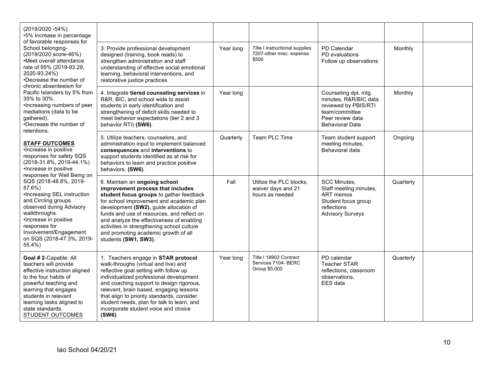| $(2019/2020 - 54%)$<br>•5% Increase in percentage<br>of favorable responses for<br>School belonging-<br>(2019/2020 score-46%)<br>•Meet overall attendance<br>rate of 95% (2019-93.29,<br>2020-93.24%)<br>•Decrease the number of<br>chronic absenteeism for<br>Pacific Islanders by 5% from<br>35% to 30%.<br>•Increasing numbers of peer<br>mediations (data to be<br>gathered).<br>•Decrease the number of<br>retentions.<br><b>STAFF OUTCOMES</b><br>•Increase in positive<br>responses for safety SQS<br>(2018-31.8%, 2019-44.1%)<br>•Increase in positive<br>responses for Well Being on<br>SQS (2018-48.8%, 2019-<br>57.6%)<br>•Increasing SEL instruction<br>and Circling groups<br>observed during Advisory<br>walkthroughs.<br>•Increase in positive<br>responses for<br>Involvement/Engagement<br>on SQS (2018-47.3%, 2019-<br>55.4%)<br>Goal # 2-Capable: All<br>teachers will provide<br>effective instruction aligned<br>to the four habits of<br>powerful teaching and<br>learning that engages<br>students in relevant<br>learning tasks aligned to |                                                                                                                                                                                                                                                                                                                                                                                                              |           |                                                                     |                                                                                                                                       |           |  |
|--------------------------------------------------------------------------------------------------------------------------------------------------------------------------------------------------------------------------------------------------------------------------------------------------------------------------------------------------------------------------------------------------------------------------------------------------------------------------------------------------------------------------------------------------------------------------------------------------------------------------------------------------------------------------------------------------------------------------------------------------------------------------------------------------------------------------------------------------------------------------------------------------------------------------------------------------------------------------------------------------------------------------------------------------------------------|--------------------------------------------------------------------------------------------------------------------------------------------------------------------------------------------------------------------------------------------------------------------------------------------------------------------------------------------------------------------------------------------------------------|-----------|---------------------------------------------------------------------|---------------------------------------------------------------------------------------------------------------------------------------|-----------|--|
|                                                                                                                                                                                                                                                                                                                                                                                                                                                                                                                                                                                                                                                                                                                                                                                                                                                                                                                                                                                                                                                                    | 3. Provide professional development<br>designed (training, book reads) to<br>strengthen administration and staff<br>understanding of effective social emotional<br>learning, behavioral interventions, and<br>restorative justice practices                                                                                                                                                                  | Year long | Title I instructional supplies<br>7207-other misc. expense<br>\$500 | PD Calendar<br>PD evaluations<br>Follow up observations                                                                               | Monthly   |  |
|                                                                                                                                                                                                                                                                                                                                                                                                                                                                                                                                                                                                                                                                                                                                                                                                                                                                                                                                                                                                                                                                    | 4. Integrate tiered counseling services in<br>R&R, BIC, and school wide to assist<br>students in early identification and<br>strengthening of deficit skills needed to<br>meet behavior expectations (tier 2 and 3<br>behavior RTI) (SW6).                                                                                                                                                                   | Year long |                                                                     | Counseling dpt. mtg.<br>minutes, R&R/BIC data<br>reviewed by PBIS/RTI<br>team/committee<br>Peer review data<br><b>Behavioral Data</b> | Monthly   |  |
|                                                                                                                                                                                                                                                                                                                                                                                                                                                                                                                                                                                                                                                                                                                                                                                                                                                                                                                                                                                                                                                                    | 5. Utilize teachers, counselors, and<br>administration input to implement balanced<br>consequences and interventions to<br>support students identified as at risk for<br>behaviors to learn and practice positive<br>behaviors. (SW6).                                                                                                                                                                       | Quarterly | Team PLC Time                                                       | Team student support<br>meeting minutes,<br>Behavioral data                                                                           | Ongoing   |  |
|                                                                                                                                                                                                                                                                                                                                                                                                                                                                                                                                                                                                                                                                                                                                                                                                                                                                                                                                                                                                                                                                    | 6. Maintain an ongoing school<br>improvement process that includes<br>student focus groups to gather feedback<br>for school improvement and academic plan<br>development (SW2), guide allocation of<br>funds and use of resources, and reflect on<br>and analyze the effectiveness of enabling<br>activities in strengthening school culture<br>and promoting academic growth of all<br>students (SW1, SW3). | Fall      | Utilize the PLC blocks,<br>waiver days and 21<br>hours as needed    | <b>SCC Minutes,</b><br>Staff meeting minutes,<br>ART memos<br>Student focus group<br>reflections<br><b>Advisory Surveys</b>           | Quarterly |  |
| state standards.<br>STUDENT OUTCOMES                                                                                                                                                                                                                                                                                                                                                                                                                                                                                                                                                                                                                                                                                                                                                                                                                                                                                                                                                                                                                               | 1. Teachers engage in STAR protocol<br>walk-throughs (virtual and live) and<br>reflective goal setting with follow up<br>individualized professional development<br>and coaching support to design rigorous,<br>relevant, brain based, engaging lessons<br>that align to priority standards, consider<br>student needs, plan for talk to learn, and<br>incorporate student voice and choice<br>(SW6).        | Year long | Title I 18902 Contract<br>Services 7104- BERC<br>Group \$5,000      | PD calendar<br><b>Teacher STAR</b><br>reflections, classroom<br>observations.<br>EES data                                             | Quarterly |  |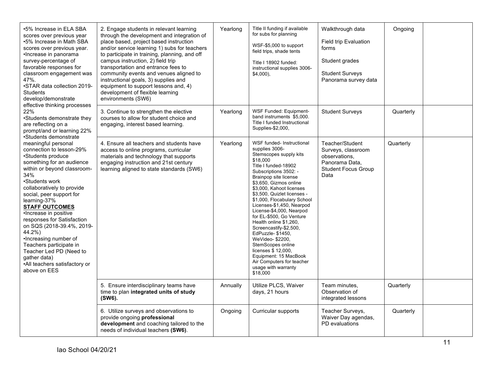| •5% Increase in ELA SBA<br>scores over previous year<br>•5% Increase in Math SBA<br>scores over previous year.<br>•Increase in panorama<br>survey-percentage of<br>favorable responses for<br>classroom engagement was<br>47%.<br>•STAR data collection 2019-<br><b>Students</b><br>develop/demonstrate<br>effective thinking processes<br>22%<br>•Students demonstrate they<br>are reflecting on a<br>prompt/and or learning 22%<br>•Students demonstrate<br>meaningful personal<br>connection to lesson-29%<br>•Students produce<br>something for an audience<br>within or beyond classroom-<br>34%<br>•Students work<br>collaboratively to provide<br>social, peer support for<br>learning-37%<br><b>STAFF OUTCOMES</b><br>.Increase in positive<br>responses for Satisfaction<br>on SQS (2018-39.4%, 2019-<br>44.2%)<br>•Increasing number of<br>Teachers participate in<br>Teacher Led PD (Need to<br>gather data)<br>•All teachers satisfactory or<br>above on EES | 2. Engage students in relevant learning<br>through the development and integration of<br>place based, project based instruction<br>and/or service learning 1) subs for teachers<br>to participate in training, planning, and off<br>campus instruction, 2) field trip<br>transportation and entrance fees to<br>community events and venues aligned to<br>instructional goals, 3) supplies and<br>equipment to support lessons and, 4)<br>development of flexible learning<br>environments (SW6) | Yearlong | Title II funding if available<br>for subs for planning<br>WSF-\$5,000 to support<br>field trips, shade tents<br>Title I 18902 funded:<br>instructional supplies 3006-<br>$$4,000$ ),                                                                                                                                                                                                                                                                                                                                                                                                                   | Walkthrough data<br>Field trip Evaluation<br>forms<br>Student grades<br><b>Student Surveys</b><br>Panorama survey data | Ongoing   |  |
|--------------------------------------------------------------------------------------------------------------------------------------------------------------------------------------------------------------------------------------------------------------------------------------------------------------------------------------------------------------------------------------------------------------------------------------------------------------------------------------------------------------------------------------------------------------------------------------------------------------------------------------------------------------------------------------------------------------------------------------------------------------------------------------------------------------------------------------------------------------------------------------------------------------------------------------------------------------------------|--------------------------------------------------------------------------------------------------------------------------------------------------------------------------------------------------------------------------------------------------------------------------------------------------------------------------------------------------------------------------------------------------------------------------------------------------------------------------------------------------|----------|--------------------------------------------------------------------------------------------------------------------------------------------------------------------------------------------------------------------------------------------------------------------------------------------------------------------------------------------------------------------------------------------------------------------------------------------------------------------------------------------------------------------------------------------------------------------------------------------------------|------------------------------------------------------------------------------------------------------------------------|-----------|--|
|                                                                                                                                                                                                                                                                                                                                                                                                                                                                                                                                                                                                                                                                                                                                                                                                                                                                                                                                                                          | 3. Continue to strengthen the elective<br>courses to allow for student choice and<br>engaging, interest based learning.                                                                                                                                                                                                                                                                                                                                                                          | Yearlong | <b>WSF Funded: Equipment-</b><br>band instruments \$5,000.<br>Title I funded Instructional<br>Supplies-\$2,000,                                                                                                                                                                                                                                                                                                                                                                                                                                                                                        | <b>Student Surveys</b>                                                                                                 | Quarterly |  |
|                                                                                                                                                                                                                                                                                                                                                                                                                                                                                                                                                                                                                                                                                                                                                                                                                                                                                                                                                                          | 4. Ensure all teachers and students have<br>access to online programs, curricular<br>materials and technology that supports<br>engaging instruction and 21st century<br>learning aligned to state standards (SW6)                                                                                                                                                                                                                                                                                | Yearlong | WSF funded- Instructional<br>supplies 3006-<br>Stemscopes supply kits<br>\$18,000<br>Title I funded-18902<br>Subscriptions 3502: -<br>Brainpop site license<br>\$3,650, Gizmos online<br>\$3,000, Kahoot licenses<br>\$3,500, Quizlet licenses -<br>\$1,000, Flocabulary School<br>Licenses-\$1,450, Nearpod<br>License-\$4,000, Nearpod<br>for EL-\$500, Go Venture<br>Health online \$1,260,<br>Screencastify-\$2,500,<br>EdPuzzle- \$1450,<br>WeVideo- \$2200,<br>StemScopes online<br>licenses \$ 12,000,<br>Equipment: 15 MacBook<br>Air Computers for teacher<br>usage with warranty<br>\$18,000 | Teacher/Student<br>Surveys, classroom<br>observations.<br>Panorama Data.<br><b>Student Focus Group</b><br>Data         | Quarterly |  |
|                                                                                                                                                                                                                                                                                                                                                                                                                                                                                                                                                                                                                                                                                                                                                                                                                                                                                                                                                                          | 5. Ensure interdisciplinary teams have<br>time to plan integrated units of study<br>(SW6).                                                                                                                                                                                                                                                                                                                                                                                                       | Annually | Utilize PLCS, Waiver<br>days, 21 hours                                                                                                                                                                                                                                                                                                                                                                                                                                                                                                                                                                 | Team minutes,<br>Observation of<br>integrated lessons                                                                  | Quarterly |  |
|                                                                                                                                                                                                                                                                                                                                                                                                                                                                                                                                                                                                                                                                                                                                                                                                                                                                                                                                                                          | 6. Utilize surveys and observations to<br>provide ongoing professional<br>development and coaching tailored to the<br>needs of individual teachers (SW6).                                                                                                                                                                                                                                                                                                                                        | Ongoing  | Curricular supports                                                                                                                                                                                                                                                                                                                                                                                                                                                                                                                                                                                    | Teacher Surveys,<br>Waiver Day agendas,<br>PD evaluations                                                              | Quarterly |  |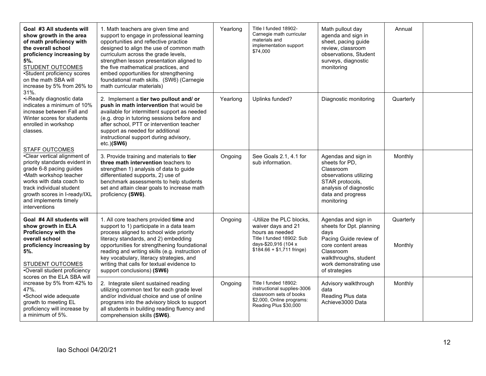| Goal #3 All students will<br>show growth in the area<br>of math proficiency with<br>the overall school<br>proficiency increasing by<br>5%.<br><b>STUDENT OUTCOMES</b><br>•Student proficiency scores<br>on the math SBA will<br>increase by 5% from 26% to                                                                                                                                                                                                                                                         | 1. Math teachers are given time and<br>support to engage in professional learning<br>opportunities and reflective practice<br>designed to align the use of common math<br>curriculum across the grade levels,<br>strengthen lesson presentation aligned to<br>the five mathematical practices, and<br>embed opportunities for strengthening<br>foundational math skills. (SW6) (Carnegie<br>math curricular materials) | Yearlong | Title I funded 18902-<br>Carnegie math curricular<br>materials and<br>implementation support<br>\$74,000                                             | Math pullout day<br>agenda and sign in<br>sheet, pacing guide<br>review, classroom<br>observations, Student<br>surveys, diagnostic<br>monitoring                                         | Annual               |  |
|--------------------------------------------------------------------------------------------------------------------------------------------------------------------------------------------------------------------------------------------------------------------------------------------------------------------------------------------------------------------------------------------------------------------------------------------------------------------------------------------------------------------|------------------------------------------------------------------------------------------------------------------------------------------------------------------------------------------------------------------------------------------------------------------------------------------------------------------------------------------------------------------------------------------------------------------------|----------|------------------------------------------------------------------------------------------------------------------------------------------------------|------------------------------------------------------------------------------------------------------------------------------------------------------------------------------------------|----------------------|--|
| •i-Ready diagnostic data<br>indicates a minimum of 10%<br>increase between Fall and<br>Winter scores for students<br>enrolled in workshop<br>classes.                                                                                                                                                                                                                                                                                                                                                              | 2. Implement a tier two pullout and/ or<br>push in math intervention that would be<br>available for intermittent support as needed<br>(e.g. drop in tutoring sessions before and<br>after school, PTT or intervention teacher<br>support as needed for additional<br>instructional support during advisory,<br>$etc.$ ) $(SW6)$                                                                                        | Yearlong | Uplinks funded?                                                                                                                                      | Diagnostic monitoring                                                                                                                                                                    | Quarterly            |  |
| $31%$ .<br><b>STAFF OUTCOMES</b><br>•Clear vertical alignment of<br>priority standards evident in<br>grade 6-8 pacing guides<br>•Math workshop teacher<br>works with data coach to<br>track individual student<br>growth scores in I-ready/IXL<br>and implements timely<br>interventions<br>Goal #4 All students will<br>show growth in ELA<br>Proficiency with the<br>overall school<br>proficiency increasing by<br>5%.<br><b>STUDENT OUTCOMES</b><br>•Overall student proficiency<br>scores on the ELA SBA will | 3. Provide training and materials to tier<br>three math intervention teachers to<br>strengthen 1) analysis of data to guide<br>differentiated supports, 2) use of<br>benchmark assessments to help students<br>set and attain clear goals to increase math<br>proficiency (SW6).                                                                                                                                       | Ongoing  | See Goals 2.1, 4.1 for<br>sub information.                                                                                                           | Agendas and sign in<br>sheets for PD,<br>Classroom<br>observations utilizing<br>STAR protocols,<br>analysis of diagnostic<br>data and progress<br>monitoring                             | Monthly              |  |
|                                                                                                                                                                                                                                                                                                                                                                                                                                                                                                                    | 1. All core teachers provided time and<br>support to 1) participate in a data team<br>process aligned to school wide priority<br>literacy standards, and 2) embedding<br>opportunities for strengthening foundational<br>reading and writing skills (e.g. instruction of<br>key vocabulary, literacy strategies, and<br>writing that calls for textual evidence to<br>support conclusions) (SW6)                       | Ongoing  | -Utilize the PLC blocks,<br>waiver days and 21<br>hours as needed<br>Title I funded 18902: Sub<br>days-\$20,916 (104 x<br>$$184.66 + $1,711$ fringe) | Agendas and sign in<br>sheets for Dpt. planning<br>days<br>Pacing Guide review of<br>core content areas<br>Classroom<br>walkthroughs, student<br>work demonstrating use<br>of strategies | Quarterly<br>Monthly |  |
| increase by 5% from 42% to<br>47%.<br>•School wide adequate<br>growth to meeting EL<br>proficiency will increase by<br>a minimum of 5%.                                                                                                                                                                                                                                                                                                                                                                            | 2. Integrate silent sustained reading<br>utilizing common text for each grade level<br>and/or individual choice and use of online<br>programs into the advisory block to support<br>all students in building reading fluency and<br>comprehension skills (SW6).                                                                                                                                                        | Ongoing  | Title I funded 18902:<br>instructional supplies-3006<br>classroom sets of books<br>\$2,000, Online programs:<br>Reading Plus \$30,000                | Advisory walkthrough<br>data<br>Reading Plus data<br>Achieve3000 Data                                                                                                                    | Monthly              |  |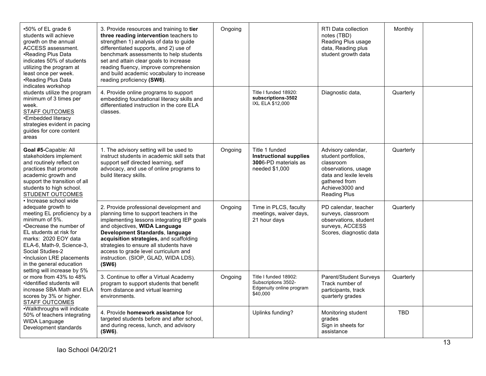| •50% of EL grade 6<br>students will achieve<br>growth on the annual<br>ACCESS assessment.<br>•Reading Plus Data<br>indicates 50% of students<br>utilizing the program at<br>least once per week.<br>•Reading Plus Data                                                                     | 3. Provide resources and training to tier<br>three reading intervention teachers to<br>strengthen 1) analysis of data to guide<br>differentiated supports, and 2) use of<br>benchmark assessments to help students<br>set and attain clear goals to increase<br>reading fluency, improve comprehension<br>and build academic vocabulary to increase<br>reading proficiency (SW6).   | Ongoing |                                                                                           | RTI Data collection<br>notes (TBD)<br>Reading Plus usage<br>data, Reading plus<br>student growth data                                                       | Monthly<br>Quarterly<br>Quarterly<br>Quarterly<br>Quarterly<br><b>TBD</b> |  |
|--------------------------------------------------------------------------------------------------------------------------------------------------------------------------------------------------------------------------------------------------------------------------------------------|-------------------------------------------------------------------------------------------------------------------------------------------------------------------------------------------------------------------------------------------------------------------------------------------------------------------------------------------------------------------------------------|---------|-------------------------------------------------------------------------------------------|-------------------------------------------------------------------------------------------------------------------------------------------------------------|---------------------------------------------------------------------------|--|
| indicates workshop<br>students utilize the program<br>minimum of 3 times per<br>week.<br>STAFF OUTCOMES<br>•Embedded literacy<br>strategies evident in pacing<br>quides for core content<br>areas                                                                                          | 4. Provide online programs to support<br>embedding foundational literacy skills and<br>differentiated instruction in the core ELA<br>classes.                                                                                                                                                                                                                                       |         | Title I funded 18920:<br>subscriptions-3502<br>IXL ELA \$12,000                           | Diagnostic data,                                                                                                                                            |                                                                           |  |
| Goal #5-Capable: All<br>stakeholders implement<br>and routinely reflect on<br>practices that promote<br>academic growth and<br>support the transition of all<br>students to high school.<br>STUDENT OUTCOMES<br>• Increase school wide                                                     | 1. The advisory setting will be used to<br>instruct students in academic skill sets that<br>support self directed learning, self<br>advocacy, and use of online programs to<br>build literacy skills.                                                                                                                                                                               | Ongoing | Title 1 funded<br><b>Instructional supplies</b><br>3006-PD materials as<br>needed \$1,000 | Advisory calendar,<br>student portfolios,<br>classroom<br>observations, usage<br>data and lexile levels<br>gathered from<br>Achieve3000 and<br>Reading Plus |                                                                           |  |
| adequate growth to<br>meeting EL proficiency by a<br>minimum of 5%.<br>•Decrease the number of<br>EL students at risk for<br>marks: 2020 EOY data<br>ELA-6, Math-9, Science-3,<br>Social Studies-2<br>•Inclusion LRE placements<br>in the general education<br>setting will increase by 5% | 2. Provide professional development and<br>planning time to support teachers in the<br>implementing lessons integrating IEP goals<br>and objectives, WIDA Language<br>Development Standards, language<br>acquisition strategies, and scaffolding<br>strategies to ensure all students have<br>access to grade level curriculum and<br>instruction. (SIOP, GLAD, WIDA LDS).<br>(SW6) | Ongoing | Time in PLCS, faculty<br>meetings, waiver days,<br>21 hour days                           | PD calendar, teacher<br>surveys, classroom<br>observations, student<br>surveys, ACCESS<br>Scores, diagnostic data                                           |                                                                           |  |
| or more from 43% to 48%<br>•Identified students will<br>increase SBA Math and ELA<br>scores by 3% or higher.<br><b>STAFF OUTCOMES</b>                                                                                                                                                      | 3. Continue to offer a Virtual Academy<br>program to support students that benefit<br>from distance and virtual learning<br>environments.                                                                                                                                                                                                                                           | Ongoing | Title I funded 18902:<br>Subscriptions 3502-<br>Edgenuity online program<br>\$40,000      | Parent/Student Surveys<br>Track number of<br>participants, track<br>quarterly grades                                                                        |                                                                           |  |
| •Walkthroughs will indicate<br>50% of teachers integrating<br>WIDA Language<br>Development standards                                                                                                                                                                                       | 4. Provide homework assistance for<br>targeted students before and after school,<br>and during recess, lunch, and advisory<br>(SW6).                                                                                                                                                                                                                                                |         | Uplinks funding?                                                                          | Monitoring student<br>grades<br>Sign in sheets for<br>assistance                                                                                            |                                                                           |  |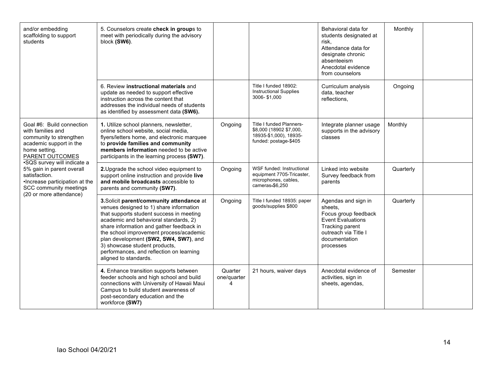| and/or embedding<br>scaffolding to support<br>students                                                                                   | 5. Counselors create check in groups to<br>meet with periodically during the advisory<br>block (SW6).                                                                                                                                                                                                                                                                                                           |                             |                                                                                                               | Behavioral data for<br>students designated at<br>risk.<br>Attendance data for<br>designate chronic<br>absenteeism<br>Anecdotal evidence<br>from counselors  | Monthly   |  |
|------------------------------------------------------------------------------------------------------------------------------------------|-----------------------------------------------------------------------------------------------------------------------------------------------------------------------------------------------------------------------------------------------------------------------------------------------------------------------------------------------------------------------------------------------------------------|-----------------------------|---------------------------------------------------------------------------------------------------------------|-------------------------------------------------------------------------------------------------------------------------------------------------------------|-----------|--|
|                                                                                                                                          | 6. Review instructional materials and<br>update as needed to support effective<br>instruction across the content that<br>addresses the individual needs of students<br>as identified by assessment data (SW6).                                                                                                                                                                                                  |                             | Title I funded 18902:<br><b>Instructional Supplies</b><br>3006-\$1,000                                        | Curriculum analysis<br>data, teacher<br>reflections,                                                                                                        | Ongoing   |  |
| Goal #6: Build connection<br>with families and<br>community to strengthen<br>academic support in the<br>home setting.<br>PARENT OUTCOMES | 1. Utilize school planners, newsletter,<br>online school website, social media,<br>flyers/letters home, and electronic marquee<br>to provide families and community<br>members information needed to be active<br>participants in the learning process (SW7).                                                                                                                                                   | Ongoing                     | <b>Title I funded Planners-</b><br>\$8,000 (18902 \$7,000,<br>18935-\$1,000), 18935-<br>funded: postage-\$405 | Integrate planner usage<br>supports in the advisory<br>classes                                                                                              | Monthly   |  |
| •SQS survey will indicate a<br>5% gain in parent overall<br>satisfaction.<br>•Increase participation at the<br>SCC community meetings    | 2. Upgrade the school video equipment to<br>support online instruction and provide live<br>and mobile broadcasts accessible to<br>parents and community (SW7).                                                                                                                                                                                                                                                  | Ongoing                     | WSF funded: Instructional<br>equipment 7705-Tricaster,<br>microphones, cables,<br>cameras-\$6,250             | Linked into website<br>Survey feedback from<br>parents                                                                                                      | Quarterly |  |
| (20 or more attendance)                                                                                                                  | 3. Solicit parent/community attendance at<br>venues designed to 1) share information<br>that supports student success in meeting<br>academic and behavioral standards, 2)<br>share information and gather feedback in<br>the school improvement process/academic<br>plan development (SW2, SW4, SW7), and<br>3) showcase student products,<br>performances, and reflection on learning<br>aligned to standards. | Ongoing                     | Title I funded 18935: paper<br>goods/supplies \$800                                                           | Agendas and sign in<br>sheets.<br>Focus group feedback<br><b>Event Evaluations</b><br>Tracking parent<br>outreach via Title I<br>documentation<br>processes | Quarterly |  |
|                                                                                                                                          | 4. Enhance transition supports between<br>feeder schools and high school and build<br>connections with University of Hawaii Maui<br>Campus to build student awareness of<br>post-secondary education and the<br>workforce (SW7)                                                                                                                                                                                 | Quarter<br>one/quarter<br>4 | 21 hours, waiver days                                                                                         | Anecdotal evidence of<br>activities, sign in<br>sheets, agendas,                                                                                            | Semester  |  |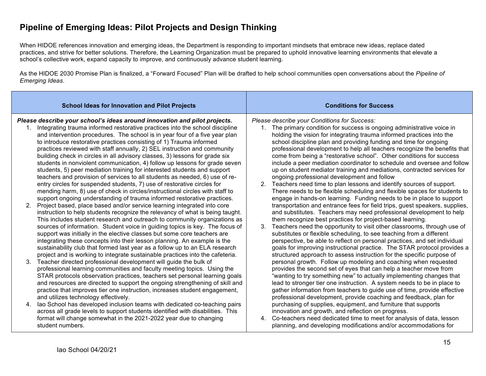# **Pipeline of Emerging Ideas: Pilot Projects and Design Thinking**

When HIDOE references innovation and emerging ideas, the Department is responding to important mindsets that embrace new ideas, replace dated practices, and strive for better solutions. Therefore, the Learning Organization must be prepared to uphold innovative learning environments that elevate a school's collective work, expand capacity to improve, and continuously advance student learning.

As the HIDOE 2030 Promise Plan is finalized, a "Forward Focused" Plan will be drafted to help school communities open conversations about the *Pipeline of Emerging Ideas*.

|                | <b>School Ideas for Innovation and Pilot Projects</b>                                                                                                                                                                                                                                                                                                                                                                                                                                                                                                                                                                                                                                                                                                                                                                                                                                                                                                                                                                                                                                                                                                                                                                                                                                                                                                                                                                                         | <b>Conditions for Success</b>                                                                                                                                                                                                                                                                                                                                                                                                                                                                                                                                                                                                                                                                                                                                                                                                                                                                                                                                                                                                                                                                                                                                                                                                                                                                                     |  |
|----------------|-----------------------------------------------------------------------------------------------------------------------------------------------------------------------------------------------------------------------------------------------------------------------------------------------------------------------------------------------------------------------------------------------------------------------------------------------------------------------------------------------------------------------------------------------------------------------------------------------------------------------------------------------------------------------------------------------------------------------------------------------------------------------------------------------------------------------------------------------------------------------------------------------------------------------------------------------------------------------------------------------------------------------------------------------------------------------------------------------------------------------------------------------------------------------------------------------------------------------------------------------------------------------------------------------------------------------------------------------------------------------------------------------------------------------------------------------|-------------------------------------------------------------------------------------------------------------------------------------------------------------------------------------------------------------------------------------------------------------------------------------------------------------------------------------------------------------------------------------------------------------------------------------------------------------------------------------------------------------------------------------------------------------------------------------------------------------------------------------------------------------------------------------------------------------------------------------------------------------------------------------------------------------------------------------------------------------------------------------------------------------------------------------------------------------------------------------------------------------------------------------------------------------------------------------------------------------------------------------------------------------------------------------------------------------------------------------------------------------------------------------------------------------------|--|
| 2 <sub>1</sub> | Please describe your school's ideas around innovation and pilot projects.<br>1. Integrating trauma informed restorative practices into the school discipline<br>and intervention procedures. The school is in year four of a five year plan<br>to introduce restorative practices consisting of 1) Trauma informed<br>practices reviewed with staff annually, 2) SEL instruction and community<br>building check in circles in all advisory classes, 3) lessons for grade six<br>students in nonviolent communication, 4) follow up lessons for grade seven<br>students, 5) peer mediation training for interested students and support<br>teachers and provision of services to all students as needed, 6) use of re-<br>entry circles for suspended students, 7) use of restorative circles for<br>mending harm, 8) use of check in circles/instructional circles with staff to<br>support ongoing understanding of trauma informed restorative practices.<br>Project based, place based and/or service learning integrated into core<br>instruction to help students recognize the relevancy of what is being taught.<br>This includes student research and outreach to community organizations as<br>sources of information. Student voice in guiding topics is key. The focus of<br>support was initially in the elective classes but some core teachers are<br>integrating these concepts into their lesson planning. An example is the | Please describe your Conditions for Success:<br>1. The primary condition for success is ongoing administrative voice in<br>holding the vision for integrating trauma informed practices into the<br>school discipline plan and providing funding and time for ongoing<br>professional development to help all teachers recognize the benefits that<br>come from being a "restorative school". Other conditions for success<br>include a peer mediation coordinator to schedule and oversee and follow<br>up on student mediator training and mediations, contracted services for<br>ongoing professional development and follow<br>Teachers need time to plan lessons and identify sources of support.<br>There needs to be flexible scheduling and flexible spaces for students to<br>engage in hands-on learning. Funding needs to be in place to support<br>transportation and entrance fees for field trips, guest speakers, supplies,<br>and substitutes. Teachers may need professional development to help<br>them recognize best practices for project-based learning.<br>3. Teachers need the opportunity to visit other classrooms, through use of<br>substitutes or flexible scheduling, to see teaching from a different<br>perspective, be able to reflect on personal practices, and set individual |  |
| $3_{-}$<br>4.  | sustainability club that formed last year as a follow up to an ELA research<br>project and is working to integrate sustainable practices into the cafeteria.<br>Teacher directed professional development will guide the bulk of<br>professional learning communities and faculty meeting topics. Using the<br>STAR protocols observation practices, teachers set personal learning goals<br>and resources are directed to support the ongoing strengthening of skill and<br>practice that improves tier one instruction, increases student engagement,<br>and utilizes technology effectively.<br>lao School has developed inclusion teams with dedicated co-teaching pairs<br>across all grade levels to support students identified with disabilities. This                                                                                                                                                                                                                                                                                                                                                                                                                                                                                                                                                                                                                                                                                | goals for improving instructional practice. The STAR protocol provides a<br>structured approach to assess instruction for the specific purpose of<br>personal growth. Follow up modeling and coaching when requested<br>provides the second set of eyes that can help a teacher move from<br>"wanting to try something new" to actually implementing changes that<br>lead to stronger tier one instruction. A system needs to be in place to<br>gather information from teachers to guide use of time, provide effective<br>professional development, provide coaching and feedback, plan for<br>purchasing of supplies, equipment, and furniture that supports<br>innovation and growth, and reflection on progress.                                                                                                                                                                                                                                                                                                                                                                                                                                                                                                                                                                                             |  |
|                | format will change somewhat in the 2021-2022 year due to changing<br>student numbers.                                                                                                                                                                                                                                                                                                                                                                                                                                                                                                                                                                                                                                                                                                                                                                                                                                                                                                                                                                                                                                                                                                                                                                                                                                                                                                                                                         | Co-teachers need dedicated time to meet for analysis of data, lesson<br>4.<br>planning, and developing modifications and/or accommodations for                                                                                                                                                                                                                                                                                                                                                                                                                                                                                                                                                                                                                                                                                                                                                                                                                                                                                                                                                                                                                                                                                                                                                                    |  |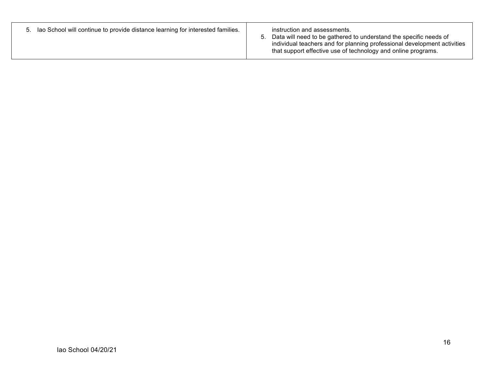| 5. Iao School will continue to provide distance learning for interested families. | instruction and assessments.<br>Data will need to be gathered to understand the specific needs of<br>individual teachers and for planning professional development activities<br>that support effective use of technology and online programs. |
|-----------------------------------------------------------------------------------|------------------------------------------------------------------------------------------------------------------------------------------------------------------------------------------------------------------------------------------------|
|-----------------------------------------------------------------------------------|------------------------------------------------------------------------------------------------------------------------------------------------------------------------------------------------------------------------------------------------|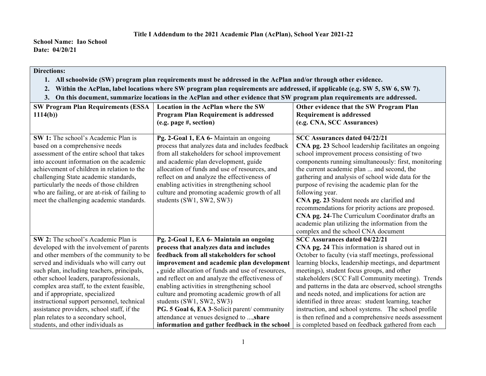## **Directions:**

- **1. All schoolwide (SW) program plan requirements must be addressed in the AcPlan and/or through other evidence.**
- **2. Within the AcPlan, label locations where SW program plan requirements are addressed, if applicable (e.g. SW 5, SW 6, SW 7).**
- **3. On this document, summarize locations in the AcPlan and other evidence that SW program plan requirements are addressed.**

| <b>SW Program Plan Requirements (ESSA</b>                                                 | Location in the AcPlan where the SW                                                         | Other evidence that the SW Program Plan                          |
|-------------------------------------------------------------------------------------------|---------------------------------------------------------------------------------------------|------------------------------------------------------------------|
| 1114(b)                                                                                   | <b>Program Plan Requirement is addressed</b>                                                | <b>Requirement is addressed</b>                                  |
|                                                                                           | (e.g. page #, section)                                                                      | (e.g. CNA, SCC Assurances)                                       |
|                                                                                           |                                                                                             |                                                                  |
| <b>SW 1:</b> The school's Academic Plan is                                                | Pg. 2-Goal 1, EA 6- Maintain an ongoing                                                     | <b>SCC Assurances dated 04/22/21</b>                             |
| based on a comprehensive needs                                                            | process that analyzes data and includes feedback                                            | CNA pg. 23 School leadership facilitates an ongoing              |
| assessment of the entire school that takes                                                | from all stakeholders for school improvement                                                | school improvement process consisting of two                     |
| into account information on the academic                                                  | and academic plan development, guide                                                        | components running simultaneously: first, monitoring             |
| achievement of children in relation to the                                                | allocation of funds and use of resources, and                                               | the current academic plan  and second, the                       |
| challenging State academic standards,                                                     | reflect on and analyze the effectiveness of                                                 | gathering and analysis of school wide data for the               |
| particularly the needs of those children<br>who are failing, or are at-risk of failing to | enabling activities in strengthening school<br>culture and promoting academic growth of all | purpose of revising the academic plan for the<br>following year. |
| meet the challenging academic standards.                                                  | students (SW1, SW2, SW3)                                                                    | CNA pg. 23 Student needs are clarified and                       |
|                                                                                           |                                                                                             | recommendations for priority actions are proposed.               |
|                                                                                           |                                                                                             | CNA pg. 24-The Curriculum Coordinator drafts an                  |
|                                                                                           |                                                                                             | academic plan utilizing the information from the                 |
|                                                                                           |                                                                                             | complex and the school CNA document                              |
| SW 2: The school's Academic Plan is                                                       | Pg. 2-Goal 1, EA 6- Maintain an ongoing                                                     | <b>SCC Assurances dated 04/22/21</b>                             |
| developed with the involvement of parents                                                 | process that analyzes data and includes                                                     | CNA pg. 24 This information is shared out in                     |
| and other members of the community to be                                                  | feedback from all stakeholders for school                                                   | October to faculty (via staff meetings, professional             |
| served and individuals who will carry out                                                 | improvement and academic plan development                                                   | learning blocks, leadership meetings, and department             |
| such plan, including teachers, principals,                                                | , guide allocation of funds and use of resources,                                           | meetings), student focus groups, and other                       |
| other school leaders, paraprofessionals,                                                  | and reflect on and analyze the effectiveness of                                             | stakeholders (SCC Fall Community meeting). Trends                |
| complex area staff, to the extent feasible,                                               | enabling activities in strengthening school                                                 | and patterns in the data are observed, school strengths          |
| and if appropriate, specialized                                                           | culture and promoting academic growth of all                                                | and needs noted, and implications for action are                 |
| instructional support personnel, technical                                                | students (SW1, SW2, SW3)                                                                    | identified in three areas: student learning, teacher             |
| assistance providers, school staff, if the                                                | PG. 5 Goal 6, EA 3-Solicit parent/community                                                 | instruction, and school systems. The school profile              |
| plan relates to a secondary school,                                                       | attendance at venues designed to , share                                                    | is then refined and a comprehensive needs assessment             |
| students, and other individuals as                                                        | information and gather feedback in the school                                               | is completed based on feedback gathered from each                |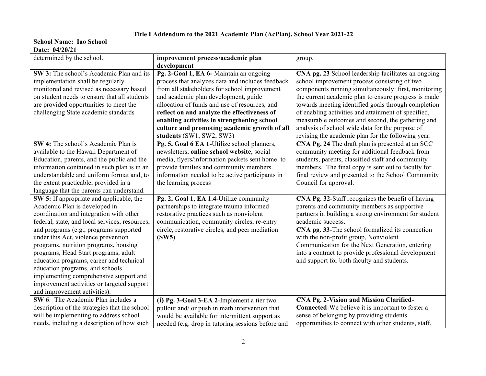## **Title I Addendum to the 2021 Academic Plan (AcPlan), School Year 2021-22**

| determined by the school.                      | improvement process/academic plan                 | group.                                                |
|------------------------------------------------|---------------------------------------------------|-------------------------------------------------------|
|                                                | development                                       |                                                       |
| SW 3: The school's Academic Plan and its       | Pg. 2-Goal 1, EA 6- Maintain an ongoing           | CNA pg. 23 School leadership facilitates an ongoing   |
| implementation shall be regularly              | process that analyzes data and includes feedback  | school improvement process consisting of two          |
| monitored and revised as necessary based       | from all stakeholders for school improvement      | components running simultaneously: first, monitoring  |
| on student needs to ensure that all students   | and academic plan development, guide              | the current academic plan to ensure progress is made  |
| are provided opportunities to meet the         | allocation of funds and use of resources, and     | towards meeting identified goals through completion   |
| challenging State academic standards           | reflect on and analyze the effectiveness of       | of enabling activities and attainment of specified,   |
|                                                | enabling activities in strengthening school       | measurable outcomes and second, the gathering and     |
|                                                | culture and promoting academic growth of all      | analysis of school wide data for the purpose of       |
|                                                | students (SW1, SW2, SW3)                          | revising the academic plan for the following year.    |
| SW 4: The school's Academic Plan is            | Pg. 5, Goal 6 EA 1-Utilize school planners,       | CNA Pg. 24 The draft plan is presented at an SCC      |
| available to the Hawaii Department of          | newsletters, online school website, social        | community meeting for additional feedback from        |
| Education, parents, and the public and the     | media, flyers/information packets sent home to    | students, parents, classified staff and community     |
| information contained in such plan is in an    | provide families and community members            | members. The final copy is sent out to faculty for    |
| understandable and uniform format and, to      | information needed to be active participants in   | final review and presented to the School Community    |
| the extent practicable, provided in a          | the learning process                              | Council for approval.                                 |
| language that the parents can understand.      |                                                   |                                                       |
| SW 5: If appropriate and applicable, the       | Pg. 2, Goal 1, EA 1.4-Utilize community           | CNA Pg. 32-Staff recognizes the benefit of having     |
| Academic Plan is developed in                  | partnerships to integrate trauma informed         | parents and community members as supportive           |
| coordination and integration with other        | restorative practices such as nonviolent          | partners in building a strong environment for student |
| federal, state, and local services, resources, | communication, community circles, re-entry        | academic success.                                     |
| and programs (e.g., programs supported         | circle, restorative circles, and peer mediation   | CNA pg. 33-The school formalized its connection       |
| under this Act, violence prevention            | (SW5)                                             | with the non-profit group, Nonviolent                 |
| programs, nutrition programs, housing          |                                                   | Communication for the Next Generation, entering       |
| programs, Head Start programs, adult           |                                                   | into a contract to provide professional development   |
| education programs, career and technical       |                                                   | and support for both faculty and students.            |
| education programs, and schools                |                                                   |                                                       |
| implementing comprehensive support and         |                                                   |                                                       |
| improvement activities or targeted support     |                                                   |                                                       |
| and improvement activities).                   |                                                   |                                                       |
| SW 6: The Academic Plan includes a             | (i) Pg. 3-Goal 3-EA 2-Implement a tier two        | <b>CNA Pg. 2-Vision and Mission Clarified-</b>        |
| description of the strategies that the school  | pullout and/ or push in math intervention that    | Connected-We believe it is important to foster a      |
| will be implementing to address school         | would be available for intermittent support as    | sense of belonging by providing students              |
| needs, including a description of how such     | needed (e.g. drop in tutoring sessions before and | opportunities to connect with other students, staff,  |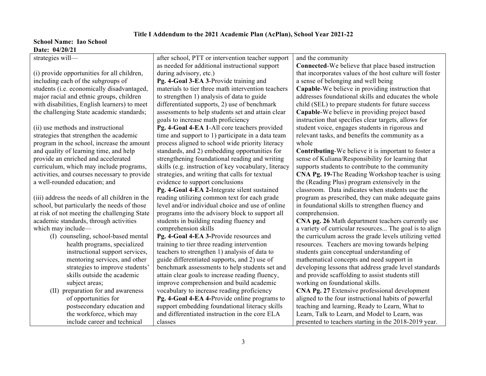| <i>valv. viieviel</i>                          |                                                      |                                                            |
|------------------------------------------------|------------------------------------------------------|------------------------------------------------------------|
| strategies will-                               | after school, PTT or intervention teacher support    | and the community                                          |
|                                                | as needed for additional instructional support       | <b>Connected-We believe that place based instruction</b>   |
| (i) provide opportunities for all children,    | during advisory, etc.)                               | that incorporates values of the host culture will foster   |
| including each of the subgroups of             | Pg. 4-Goal 3-EA 3-Provide training and               | a sense of belonging and well being                        |
| students (i.e. economically disadvantaged,     | materials to tier three math intervention teachers   | <b>Capable-We believe in providing instruction that</b>    |
| major racial and ethnic groups, children       | to strengthen 1) analysis of data to guide           | addresses foundational skills and educates the whole       |
| with disabilities, English learners) to meet   | differentiated supports, 2) use of benchmark         | child (SEL) to prepare students for future success         |
| the challenging State academic standards;      | assessments to help students set and attain clear    | Capable-We believe in providing project based              |
|                                                | goals to increase math proficiency                   | instruction that specifies clear targets, allows for       |
| (ii) use methods and instructional             | Pg. 4-Goal 4-EA 1-All core teachers provided         | student voice, engages students in rigorous and            |
| strategies that strengthen the academic        | time and support to 1) participate in a data team    | relevant tasks, and benefits the community as a            |
| program in the school, increase the amount     | process aligned to school wide priority literacy     | whole                                                      |
| and quality of learning time, and help         | standards, and 2) embedding opportunities for        | <b>Contributing-We believe it is important to foster a</b> |
| provide an enriched and accelerated            | strengthening foundational reading and writing       | sense of Kuliana/Responsibility for learning that          |
| curriculum, which may include programs,        | skills (e.g. instruction of key vocabulary, literacy | supports students to contribute to the community           |
| activities, and courses necessary to provide   | strategies, and writing that calls for textual       | CNA Pg. 19-The Reading Workshop teacher is using           |
| a well-rounded education; and                  | evidence to support conclusions                      | the (Reading Plus) program extensively in the              |
|                                                | Pg. 4-Goal 4-EA 2-Integrate silent sustained         | classroom. Data indicates when students use the            |
| (iii) address the needs of all children in the | reading utilizing common text for each grade         | program as prescribed, they can make adequate gains        |
| school, but particularly the needs of those    | level and/or individual choice and use of online     | in foundational skills to strengthen fluency and           |
| at risk of not meeting the challenging State   | programs into the advisory block to support all      | comprehension.                                             |
| academic standards, through activities         | students in building reading fluency and             | CNA pg. 26 Math department teachers currently use          |
| which may include—                             | comprehension skills                                 | a variety of curricular resources The goal is to align     |
| (I) counseling, school-based mental            | Pg. 4-Goal 4-EA 3-Provide resources and              | the curriculum across the grade levels utilizing vetted    |
| health programs, specialized                   | training to tier three reading intervention          | resources. Teachers are moving towards helping             |
| instructional support services,                | teachers to strengthen 1) analysis of data to        | students gain conceptual understanding of                  |
| mentoring services, and other                  | guide differentiated supports, and 2) use of         | mathematical concepts and need support in                  |
| strategies to improve students'                | benchmark assessments to help students set and       | developing lessons that address grade level standards      |
| skills outside the academic                    | attain clear goals to increase reading fluency,      | and provide scaffolding to assist students still           |
| subject areas;                                 | improve comprehension and build academic             | working on foundational skills.                            |
| (II) preparation for and awareness             | vocabulary to increase reading proficiency           | CNA Pg. 27 Extensive professional development              |
| of opportunities for                           | Pg. 4-Goal 4-EA 4-Provide online programs to         | aligned to the four instructional habits of powerful       |
| postsecondary education and                    | support embedding foundational literacy skills       | teaching and learning, Ready to Learn, What to             |
| the workforce, which may                       | and differentiated instruction in the core ELA       | Learn, Talk to Learn, and Model to Learn, was              |
| include career and technical                   | classes                                              | presented to teachers starting in the 2018-2019 year.      |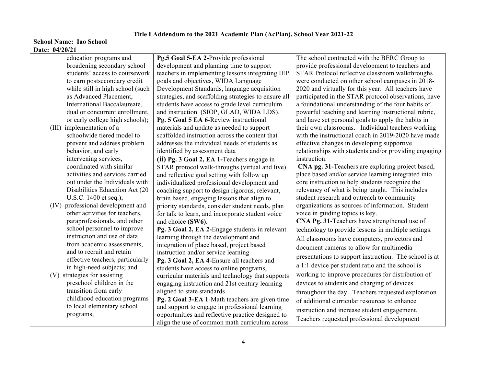| education programs and            | Pg.5 Goal 5-EA 2-Provide professional                | The school contracted with the BERC Group to           |
|-----------------------------------|------------------------------------------------------|--------------------------------------------------------|
| broadening secondary school       | development and planning time to support             | provide professional development to teachers and       |
| students' access to coursework    | teachers in implementing lessons integrating IEP     | STAR Protocol reflective classroom walkthroughs        |
| to earn postsecondary credit      | goals and objectives, WIDA Language                  | were conducted on other school campuses in 2018-       |
| while still in high school (such  | Development Standards, language acquisition          | 2020 and virtually for this year. All teachers have    |
| as Advanced Placement,            | strategies, and scaffolding strategies to ensure all | participated in the STAR protocol observations, have   |
| International Baccalaureate,      | students have access to grade level curriculum       | a foundational understanding of the four habits of     |
| dual or concurrent enrollment,    | and instruction. (SIOP, GLAD, WIDA LDS).             | powerful teaching and learning instructional rubric,   |
| or early college high schools);   | Pg. 5 Goal 5 EA 6-Review instructional               | and have set personal goals to apply the habits in     |
| (III) implementation of a         | materials and update as needed to support            | their own classrooms. Individual teachers working      |
| schoolwide tiered model to        | scaffolded instruction across the content that       | with the instructional coach in 2019-2020 have made    |
| prevent and address problem       | addresses the individual needs of students as        | effective changes in developing supportive             |
| behavior, and early               | identified by assessment data                        | relationships with students and/or providing engaging  |
| intervening services,             | (ii) Pg. 3 Goal 2, EA 1-Teachers engage in           | instruction.                                           |
| coordinated with similar          | STAR protocol walk-throughs (virtual and live)       | CNA pg. 31-Teachers are exploring project based,       |
| activities and services carried   | and reflective goal setting with follow up           | place based and/or service learning integrated into    |
| out under the Individuals with    | individualized professional development and          | core instruction to help students recognize the        |
| Disabilities Education Act (20    | coaching support to design rigorous, relevant,       | relevancy of what is being taught. This includes       |
| U.S.C. 1400 et seq.);             | brain based, engaging lessons that align to          | student research and outreach to community             |
| (IV) professional development and | priority standards, consider student needs, plan     | organizations as sources of information. Student       |
| other activities for teachers,    | for talk to learn, and incorporate student voice     | voice in guiding topics is key.                        |
| paraprofessionals, and other      | and choice (SW6).                                    | CNA Pg. 31-Teachers have strengthened use of           |
| school personnel to improve       | Pg. 3 Goal 2, EA 2-Engage students in relevant       | technology to provide lessons in multiple settings.    |
| instruction and use of data       | learning through the development and                 | All classrooms have computers, projectors and          |
| from academic assessments,        | integration of place based, project based            | document cameras to allow for multimedia               |
| and to recruit and retain         | instruction and/or service learning                  | presentations to support instruction. The school is at |
| effective teachers, particularly  | Pg. 3 Goal 2, EA 4-Ensure all teachers and           |                                                        |
| in high-need subjects; and        | students have access to online programs,             | a 1:1 device per student ratio and the school is       |
| (V) strategies for assisting      | curricular materials and technology that supports    | working to improve procedures for distribution of      |
| preschool children in the         | engaging instruction and 21st century learning       | devices to students and charging of devices            |
| transition from early             | aligned to state standards                           | throughout the day. Teachers requested exploration     |
| childhood education programs      | Pg. 2 Goal 3-EA 1-Math teachers are given time       | of additional curricular resources to enhance          |
| to local elementary school        | and support to engage in professional learning       | instruction and increase student engagement.           |
| programs;                         | opportunities and reflective practice designed to    | Teachers requested professional development            |
|                                   | align the use of common math curriculum across       |                                                        |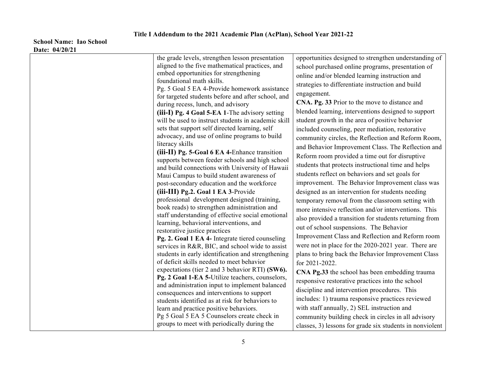| the grade levels, strengthen lesson presentation                                                   | opportunities designed to strengthen understanding of  |
|----------------------------------------------------------------------------------------------------|--------------------------------------------------------|
| aligned to the five mathematical practices, and                                                    | school purchased online programs, presentation of      |
| embed opportunities for strengthening                                                              | online and/or blended learning instruction and         |
| foundational math skills.                                                                          | strategies to differentiate instruction and build      |
| Pg. 5 Goal 5 EA 4-Provide homework assistance                                                      | engagement.                                            |
| for targeted students before and after school, and<br>during recess, lunch, and advisory           | CNA. Pg. 33 Prior to the move to distance and          |
| (iii-I) Pg. 4 Goal 5-EA 1-The advisory setting                                                     | blended learning, interventions designed to support    |
| will be used to instruct students in academic skill                                                | student growth in the area of positive behavior        |
| sets that support self directed learning, self                                                     | included counseling, peer mediation, restorative       |
| advocacy, and use of online programs to build                                                      | community circles, the Reflection and Reform Room,     |
| literacy skills                                                                                    | and Behavior Improvement Class. The Reflection and     |
| (iii-II) Pg. 5-Goal 6 EA 4-Enhance transition                                                      | Reform room provided a time out for disruptive         |
| supports between feeder schools and high school<br>and build connections with University of Hawaii | students that protects instructional time and helps    |
| Maui Campus to build student awareness of                                                          | students reflect on behaviors and set goals for        |
| post-secondary education and the workforce                                                         | improvement. The Behavior Improvement class was        |
| (iii-III) Pg.2. Goal 1 EA 3-Provide                                                                | designed as an intervention for students needing       |
| professional development designed (training,                                                       | temporary removal from the classroom setting with      |
| book reads) to strengthen administration and                                                       | more intensive reflection and/or interventions. This   |
| staff understanding of effective social emotional                                                  | also provided a transition for students returning from |
| learning, behavioral interventions, and<br>restorative justice practices                           | out of school suspensions. The Behavior                |
| Pg. 2. Goal 1 EA 4- Integrate tiered counseling                                                    | Improvement Class and Reflection and Reform room       |
| services in R&R, BIC, and school wide to assist                                                    | were not in place for the 2020-2021 year. There are    |
| students in early identification and strengthening                                                 | plans to bring back the Behavior Improvement Class     |
| of deficit skills needed to meet behavior                                                          | for 2021-2022.                                         |
| expectations (tier 2 and 3 behavior RTI) (SW6).                                                    | CNA Pg.33 the school has been embedding trauma         |
| Pg. 2 Goal 1-EA 5-Utilize teachers, counselors,                                                    | responsive restorative practices into the school       |
| and administration input to implement balanced<br>consequences and interventions to support        | discipline and intervention procedures. This           |
| students identified as at risk for behaviors to                                                    | includes: 1) trauma responsive practices reviewed      |
| learn and practice positive behaviors.                                                             | with staff annually, 2) SEL instruction and            |
|                                                                                                    |                                                        |
| Pg 5 Goal 5 EA 5 Counselors create check in                                                        | community building check in circles in all advisory    |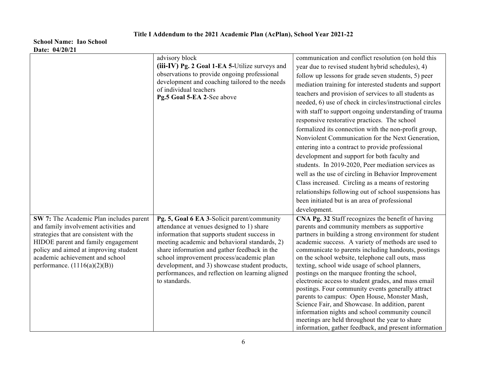|                                                                                                                                                                                                                                                                                 | advisory block<br>(iii-IV) Pg. 2 Goal 1-EA 5-Utilize surveys and<br>observations to provide ongoing professional<br>development and coaching tailored to the needs<br>of individual teachers<br>Pg.5 Goal 5-EA 2-See above                                                                                                                                                                                   | communication and conflict resolution (on hold this<br>year due to revised student hybrid schedules), 4)<br>follow up lessons for grade seven students, 5) peer<br>mediation training for interested students and support<br>teachers and provision of services to all students as<br>needed, 6) use of check in circles/instructional circles<br>with staff to support ongoing understanding of trauma<br>responsive restorative practices. The school<br>formalized its connection with the non-profit group,<br>Nonviolent Communication for the Next Generation,<br>entering into a contract to provide professional<br>development and support for both faculty and<br>students. In 2019-2020, Peer mediation services as<br>well as the use of circling in Behavior Improvement<br>Class increased. Circling as a means of restoring<br>relationships following out of school suspensions has<br>been initiated but is an area of professional<br>development. |
|---------------------------------------------------------------------------------------------------------------------------------------------------------------------------------------------------------------------------------------------------------------------------------|--------------------------------------------------------------------------------------------------------------------------------------------------------------------------------------------------------------------------------------------------------------------------------------------------------------------------------------------------------------------------------------------------------------|----------------------------------------------------------------------------------------------------------------------------------------------------------------------------------------------------------------------------------------------------------------------------------------------------------------------------------------------------------------------------------------------------------------------------------------------------------------------------------------------------------------------------------------------------------------------------------------------------------------------------------------------------------------------------------------------------------------------------------------------------------------------------------------------------------------------------------------------------------------------------------------------------------------------------------------------------------------------|
| SW 7: The Academic Plan includes parent<br>and family involvement activities and<br>strategies that are consistent with the<br>HIDOE parent and family engagement<br>policy and aimed at improving student<br>academic achievement and school<br>performance. $(1116(a)(2)(B))$ | Pg. 5, Goal 6 EA 3-Solicit parent/community<br>attendance at venues designed to 1) share<br>information that supports student success in<br>meeting academic and behavioral standards, 2)<br>share information and gather feedback in the<br>school improvement process/academic plan<br>development, and 3) showcase student products,<br>performances, and reflection on learning aligned<br>to standards. | CNA Pg. 32 Staff recognizes the benefit of having<br>parents and community members as supportive<br>partners in building a strong environment for student<br>academic success. A variety of methods are used to<br>communicate to parents including handouts, postings<br>on the school website, telephone call outs, mass<br>texting, school wide usage of school planners,<br>postings on the marquee fronting the school,<br>electronic access to student grades, and mass email<br>postings. Four community events generally attract<br>parents to campus: Open House, Monster Mash,<br>Science Fair, and Showcase. In addition, parent<br>information nights and school community council<br>meetings are held throughout the year to share<br>information, gather feedback, and present information                                                                                                                                                            |